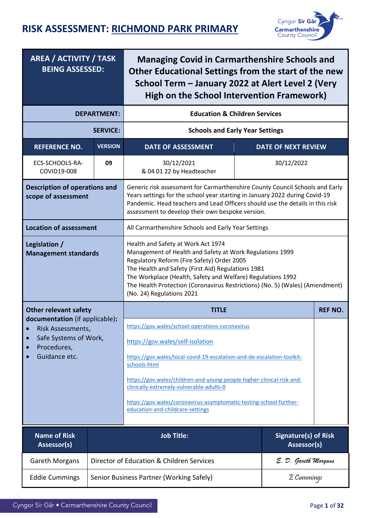

| <b>AREA / ACTIVITY / TASK</b><br><b>BEING ASSESSED:</b>                                                                                |                    | <b>Managing Covid in Carmarthenshire Schools and</b><br>Other Educational Settings from the start of the new<br>School Term - January 2022 at Alert Level 2 (Very<br>High on the School Intervention Framework)                                                                                                                                                                                              |                                     |                |  |  |
|----------------------------------------------------------------------------------------------------------------------------------------|--------------------|--------------------------------------------------------------------------------------------------------------------------------------------------------------------------------------------------------------------------------------------------------------------------------------------------------------------------------------------------------------------------------------------------------------|-------------------------------------|----------------|--|--|
|                                                                                                                                        | <b>DEPARTMENT:</b> | <b>Education &amp; Children Services</b>                                                                                                                                                                                                                                                                                                                                                                     |                                     |                |  |  |
|                                                                                                                                        | <b>SERVICE:</b>    | <b>Schools and Early Year Settings</b>                                                                                                                                                                                                                                                                                                                                                                       |                                     |                |  |  |
| <b>REFERENCE NO.</b>                                                                                                                   | <b>VERSION</b>     | <b>DATE OF ASSESSMENT</b>                                                                                                                                                                                                                                                                                                                                                                                    | <b>DATE OF NEXT REVIEW</b>          |                |  |  |
| ECS-SCHOOLS-RA-<br>COVID19-008                                                                                                         | 09                 | 30/12/2021<br>30/12/2022<br>& 04 01 22 by Headteacher                                                                                                                                                                                                                                                                                                                                                        |                                     |                |  |  |
| <b>Description of operations and</b><br>scope of assessment                                                                            |                    | Generic risk assessment for Carmarthenshire County Council Schools and Early<br>Years settings for the school year starting in January 2022 during Covid-19<br>Pandemic. Head teachers and Lead Officers should use the details in this risk<br>assessment to develop their own bespoke version.                                                                                                             |                                     |                |  |  |
| <b>Location of assessment</b>                                                                                                          |                    | All Carmarthenshire Schools and Early Year Settings                                                                                                                                                                                                                                                                                                                                                          |                                     |                |  |  |
| Legislation /<br><b>Management standards</b>                                                                                           |                    | Health and Safety at Work Act 1974<br>Management of Health and Safety at Work Regulations 1999<br>Regulatory Reform (Fire Safety) Order 2005<br>The Health and Safety (First Aid) Regulations 1981<br>The Workplace (Health, Safety and Welfare) Regulations 1992<br>The Health Protection (Coronavirus Restrictions) (No. 5) (Wales) (Amendment)<br>(No. 24) Regulations 2021                               |                                     |                |  |  |
| <b>Other relevant safety</b>                                                                                                           |                    | <b>TITLE</b>                                                                                                                                                                                                                                                                                                                                                                                                 |                                     | <b>REF NO.</b> |  |  |
| documentation (if applicable):<br>Risk Assessments,<br>Safe Systems of Work,<br>$\bullet$<br>Procedures,<br>$\bullet$<br>Guidance etc. |                    | https://gov.wales/school-operations-coronavirus<br>https://gov.wales/self-isolation<br>https://gov.wales/local-covid-19-escalation-and-de-escalation-toolkit-<br>schools-html<br>https://gov.wales/children-and-young-people-higher-clinical-risk-and-<br>clinically-extremely-vulnerable-adults-0<br>https://gov.wales/coronavirus-asymptomatic-testing-school-further-<br>education-and-childcare-settings |                                     |                |  |  |
| <b>Name of Risk</b><br>Assessor(s)                                                                                                     |                    | <b>Job Title:</b>                                                                                                                                                                                                                                                                                                                                                                                            | Signature(s) of Risk<br>Assessor(s) |                |  |  |
| Gareth Morgans                                                                                                                         |                    | Director of Education & Children Services                                                                                                                                                                                                                                                                                                                                                                    | E. D. Gareth Morgans                |                |  |  |
| <b>Eddie Cummings</b>                                                                                                                  |                    | Senior Business Partner (Working Safely)                                                                                                                                                                                                                                                                                                                                                                     | $E$ Cummings                        |                |  |  |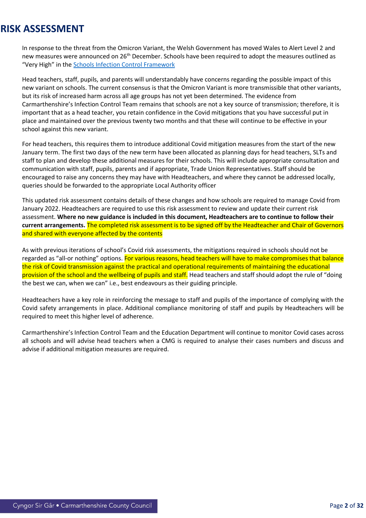In response to the threat from the Omicron Variant, the Welsh Government has moved Wales to Alert Level 2 and new measures were announced on 26<sup>th</sup> December. Schools have been required to adopt the measures outlined as "Very High" in the **[Schools Infection Control Framework](https://gov.wales/local-covid-19-escalation-and-de-escalation-toolkit-schools-html)** 

Head teachers, staff, pupils, and parents will understandably have concerns regarding the possible impact of this new variant on schools. The current consensus is that the Omicron Variant is more transmissible that other variants, but its risk of increased harm across all age groups has not yet been determined. The evidence from Carmarthenshire's Infection Control Team remains that schools are not a key source of transmission; therefore, it is important that as a head teacher, you retain confidence in the Covid mitigations that you have successful put in place and maintained over the previous twenty two months and that these will continue to be effective in your school against this new variant.

For head teachers, this requires them to introduce additional Covid mitigation measures from the start of the new January term. The first two days of the new term have been allocated as planning days for head teachers, SLTs and staff to plan and develop these additional measures for their schools. This will include appropriate consultation and communication with staff, pupils, parents and if appropriate, Trade Union Representatives. Staff should be encouraged to raise any concerns they may have with Headteachers, and where they cannot be addressed locally, queries should be forwarded to the appropriate Local Authority officer

This updated risk assessment contains details of these changes and how schools are required to manage Covid from January 2022. Headteachers are required to use this risk assessment to review and update their current risk assessment. **Where no new guidance is included in this document, Headteachers are to continue to follow their current arrangements.** The completed risk assessment is to be signed off by the Headteacher and Chair of Governors and shared with everyone affected by the contents

As with previous iterations of school's Covid risk assessments, the mitigations required in schools should not be regarded as "all-or nothing" options. For various reasons, head teachers will have to make compromises that balance the risk of Covid transmission against the practical and operational requirements of maintaining the educational provision of the school and the wellbeing of pupils and staff. Head teachers and staff should adopt the rule of "doing the best we can, when we can" i.e., best endeavours as their guiding principle.

Headteachers have a key role in reinforcing the message to staff and pupils of the importance of complying with the Covid safety arrangements in place. Additional compliance monitoring of staff and pupils by Headteachers will be required to meet this higher level of adherence.

Carmarthenshire's Infection Control Team and the Education Department will continue to monitor Covid cases across all schools and will advise head teachers when a CMG is required to analyse their cases numbers and discuss and advise if additional mitigation measures are required.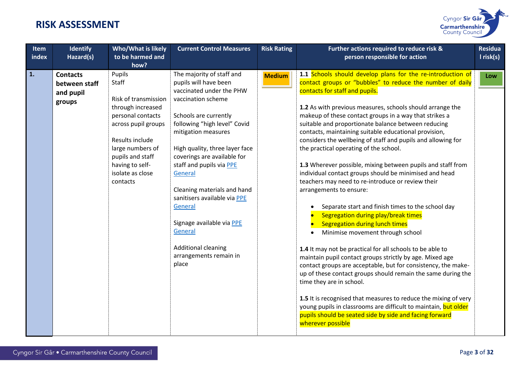

| <b>Item</b><br>index | <b>Identify</b><br>Hazard(s)                            | Who/What is likely<br>to be harmed and<br>how?                                                                                                                                                                         | <b>Current Control Measures</b>                                                                                                                                                                                                                                                                                                                                                                                                                                                 | <b>Risk Rating</b> | Further actions required to reduce risk &<br>person responsible for action                                                                                                                                                                                                                                                                                                                                                                                                                                                                                                                                                                                                                                                                                                                                                                                                                                                                                                                                                                                                                                                                                                                                                                                                                                                                                                                                | <b>Residua</b><br>$l$ risk(s) |
|----------------------|---------------------------------------------------------|------------------------------------------------------------------------------------------------------------------------------------------------------------------------------------------------------------------------|---------------------------------------------------------------------------------------------------------------------------------------------------------------------------------------------------------------------------------------------------------------------------------------------------------------------------------------------------------------------------------------------------------------------------------------------------------------------------------|--------------------|-----------------------------------------------------------------------------------------------------------------------------------------------------------------------------------------------------------------------------------------------------------------------------------------------------------------------------------------------------------------------------------------------------------------------------------------------------------------------------------------------------------------------------------------------------------------------------------------------------------------------------------------------------------------------------------------------------------------------------------------------------------------------------------------------------------------------------------------------------------------------------------------------------------------------------------------------------------------------------------------------------------------------------------------------------------------------------------------------------------------------------------------------------------------------------------------------------------------------------------------------------------------------------------------------------------------------------------------------------------------------------------------------------------|-------------------------------|
| 1.                   | <b>Contacts</b><br>between staff<br>and pupil<br>groups | Pupils<br>Staff<br>Risk of transmission<br>through increased<br>personal contacts<br>across pupil groups<br>Results include<br>large numbers of<br>pupils and staff<br>having to self-<br>isolate as close<br>contacts | The majority of staff and<br>pupils will have been<br>vaccinated under the PHW<br>vaccination scheme<br>Schools are currently<br>following "high level" Covid<br>mitigation measures<br>High quality, three layer face<br>coverings are available for<br>staff and pupils via PPE<br>General<br>Cleaning materials and hand<br>sanitisers available via PPE<br>General<br>Signage available via PPE<br>General<br><b>Additional cleaning</b><br>arrangements remain in<br>place | <b>Medium</b>      | 1.1 Schools should develop plans for the re-introduction of<br>contact groups or "bubbles" to reduce the number of daily<br>contacts for staff and pupils.<br>1.2 As with previous measures, schools should arrange the<br>makeup of these contact groups in a way that strikes a<br>suitable and proportionate balance between reducing<br>contacts, maintaining suitable educational provision,<br>considers the wellbeing of staff and pupils and allowing for<br>the practical operating of the school.<br>1.3 Wherever possible, mixing between pupils and staff from<br>individual contact groups should be minimised and head<br>teachers may need to re-introduce or review their<br>arrangements to ensure:<br>Separate start and finish times to the school day<br>Segregation during play/break times<br><b>Segregation during lunch times</b><br>Minimise movement through school<br>1.4 It may not be practical for all schools to be able to<br>maintain pupil contact groups strictly by age. Mixed age<br>contact groups are acceptable, but for consistency, the make-<br>up of these contact groups should remain the same during the<br>time they are in school.<br>1.5 It is recognised that measures to reduce the mixing of very<br>young pupils in classrooms are difficult to maintain, but older<br>pupils should be seated side by side and facing forward<br>wherever possible | Low                           |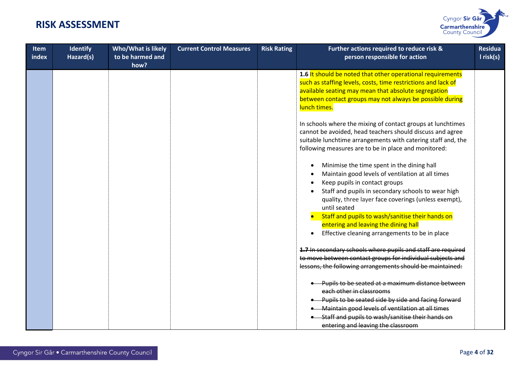

| <b>Item</b><br>index | <b>Identify</b><br>Hazard(s) | Who/What is likely<br>to be harmed and<br>how? | <b>Current Control Measures</b> | <b>Risk Rating</b> | Further actions required to reduce risk &<br>person responsible for action                                                                                                                                                                                      | <b>Residua</b><br>I risk(s) |
|----------------------|------------------------------|------------------------------------------------|---------------------------------|--------------------|-----------------------------------------------------------------------------------------------------------------------------------------------------------------------------------------------------------------------------------------------------------------|-----------------------------|
|                      |                              |                                                |                                 |                    | 1.6 It should be noted that other operational requirements<br>such as staffing levels, costs, time restrictions and lack of<br>available seating may mean that absolute segregation<br>between contact groups may not always be possible during<br>lunch times. |                             |
|                      |                              |                                                |                                 |                    | In schools where the mixing of contact groups at lunchtimes<br>cannot be avoided, head teachers should discuss and agree<br>suitable lunchtime arrangements with catering staff and, the<br>following measures are to be in place and monitored:                |                             |
|                      |                              |                                                |                                 |                    | Minimise the time spent in the dining hall<br>Maintain good levels of ventilation at all times<br>Keep pupils in contact groups<br>Staff and pupils in secondary schools to wear high<br>quality, three layer face coverings (unless exempt),<br>until seated   |                             |
|                      |                              |                                                |                                 |                    | Staff and pupils to wash/sanitise their hands on<br>entering and leaving the dining hall<br>Effective cleaning arrangements to be in place<br>$\bullet$                                                                                                         |                             |
|                      |                              |                                                |                                 |                    | 1.7 In secondary schools where pupils and staff are required<br>to move between contact groups for individual subjects and<br>lessons, the following arrangements should be maintained:                                                                         |                             |
|                      |                              |                                                |                                 |                    | Pupils to be seated at a maximum distance between<br>each other in classrooms                                                                                                                                                                                   |                             |
|                      |                              |                                                |                                 |                    | Pupils to be seated side by side and facing forward                                                                                                                                                                                                             |                             |
|                      |                              |                                                |                                 |                    | • Maintain good levels of ventilation at all times                                                                                                                                                                                                              |                             |
|                      |                              |                                                |                                 |                    | Staff and pupils to wash/sanitise their hands on                                                                                                                                                                                                                |                             |
|                      |                              |                                                |                                 |                    | entering and leaving the classroom                                                                                                                                                                                                                              |                             |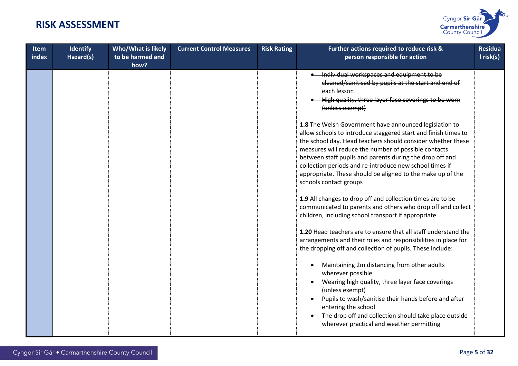

| <b>Item</b><br>index | <b>Identify</b><br>Hazard(s) | Who/What is likely<br>to be harmed and<br>how? | <b>Current Control Measures</b> | <b>Risk Rating</b> | Further actions required to reduce risk &<br>person responsible for action                                                                                                                                                                                                                                                                                                                                                                                     | <b>Residua</b><br>I risk(s) |
|----------------------|------------------------------|------------------------------------------------|---------------------------------|--------------------|----------------------------------------------------------------------------------------------------------------------------------------------------------------------------------------------------------------------------------------------------------------------------------------------------------------------------------------------------------------------------------------------------------------------------------------------------------------|-----------------------------|
|                      |                              |                                                |                                 |                    | Individual workspaces and equipment to be<br>cleaned/sanitised by pupils at the start and end of<br>each lesson<br>High quality, three layer face coverings to be worn<br>(unless exempt)                                                                                                                                                                                                                                                                      |                             |
|                      |                              |                                                |                                 |                    | 1.8 The Welsh Government have announced legislation to<br>allow schools to introduce staggered start and finish times to<br>the school day. Head teachers should consider whether these<br>measures will reduce the number of possible contacts<br>between staff pupils and parents during the drop off and<br>collection periods and re-introduce new school times if<br>appropriate. These should be aligned to the make up of the<br>schools contact groups |                             |
|                      |                              |                                                |                                 |                    | 1.9 All changes to drop off and collection times are to be<br>communicated to parents and others who drop off and collect<br>children, including school transport if appropriate.                                                                                                                                                                                                                                                                              |                             |
|                      |                              |                                                |                                 |                    | 1.20 Head teachers are to ensure that all staff understand the<br>arrangements and their roles and responsibilities in place for<br>the dropping off and collection of pupils. These include:                                                                                                                                                                                                                                                                  |                             |
|                      |                              |                                                |                                 |                    | Maintaining 2m distancing from other adults<br>wherever possible<br>Wearing high quality, three layer face coverings<br>(unless exempt)<br>Pupils to wash/sanitise their hands before and after<br>entering the school<br>The drop off and collection should take place outside<br>wherever practical and weather permitting                                                                                                                                   |                             |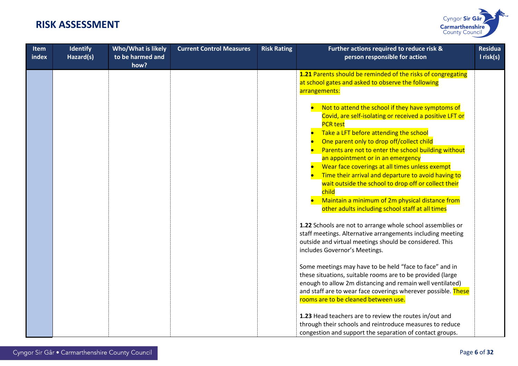

| <b>Item</b><br>index | <b>Identify</b><br>Hazard(s) | Who/What is likely<br>to be harmed and<br>how? | <b>Current Control Measures</b> | <b>Risk Rating</b> | Further actions required to reduce risk &<br>person responsible for action                                                                                                                                                                                                                                                                                                                                                                                                                                                                                                                           | <b>Residua</b><br>$l$ risk(s) |
|----------------------|------------------------------|------------------------------------------------|---------------------------------|--------------------|------------------------------------------------------------------------------------------------------------------------------------------------------------------------------------------------------------------------------------------------------------------------------------------------------------------------------------------------------------------------------------------------------------------------------------------------------------------------------------------------------------------------------------------------------------------------------------------------------|-------------------------------|
|                      |                              |                                                |                                 |                    | 1.21 Parents should be reminded of the risks of congregating<br>at school gates and asked to observe the following<br>arrangements:                                                                                                                                                                                                                                                                                                                                                                                                                                                                  |                               |
|                      |                              |                                                |                                 |                    | Not to attend the school if they have symptoms of<br>Covid, are self-isolating or received a positive LFT or<br><b>PCR</b> test<br>Take a LFT before attending the school<br>One parent only to drop off/collect child<br>Parents are not to enter the school building without<br>an appointment or in an emergency<br>Wear face coverings at all times unless exempt<br>Time their arrival and departure to avoid having to<br>wait outside the school to drop off or collect their<br>child<br>Maintain a minimum of 2m physical distance from<br>other adults including school staff at all times |                               |
|                      |                              |                                                |                                 |                    | 1.22 Schools are not to arrange whole school assemblies or<br>staff meetings. Alternative arrangements including meeting<br>outside and virtual meetings should be considered. This<br>includes Governor's Meetings.                                                                                                                                                                                                                                                                                                                                                                                 |                               |
|                      |                              |                                                |                                 |                    | Some meetings may have to be held "face to face" and in<br>these situations, suitable rooms are to be provided (large<br>enough to allow 2m distancing and remain well ventilated)<br>and staff are to wear face coverings wherever possible. These<br>rooms are to be cleaned between use.                                                                                                                                                                                                                                                                                                          |                               |
|                      |                              |                                                |                                 |                    | 1.23 Head teachers are to review the routes in/out and<br>through their schools and reintroduce measures to reduce<br>congestion and support the separation of contact groups.                                                                                                                                                                                                                                                                                                                                                                                                                       |                               |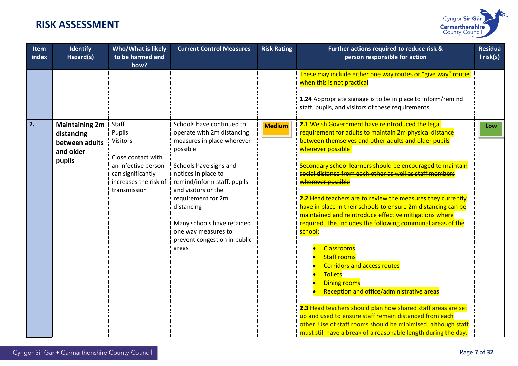

| <b>Item</b><br>index | <b>Identify</b><br>Hazard(s)                                                 | Who/What is likely<br>to be harmed and<br>how?                                    | <b>Current Control Measures</b>                                                                                                                                                                                                       | <b>Risk Rating</b> | Further actions required to reduce risk &<br>person responsible for action                                                                                                                                                                                                                                                                                                                                                                                                                                                                                                                                                                                                                                                                                                                                                                   | <b>Residua</b><br>$l$ risk(s) |
|----------------------|------------------------------------------------------------------------------|-----------------------------------------------------------------------------------|---------------------------------------------------------------------------------------------------------------------------------------------------------------------------------------------------------------------------------------|--------------------|----------------------------------------------------------------------------------------------------------------------------------------------------------------------------------------------------------------------------------------------------------------------------------------------------------------------------------------------------------------------------------------------------------------------------------------------------------------------------------------------------------------------------------------------------------------------------------------------------------------------------------------------------------------------------------------------------------------------------------------------------------------------------------------------------------------------------------------------|-------------------------------|
|                      |                                                                              |                                                                                   |                                                                                                                                                                                                                                       |                    | These may include either one way routes or "give way" routes<br>when this is not practical<br>1.24 Appropriate signage is to be in place to inform/remind<br>staff, pupils, and visitors of these requirements                                                                                                                                                                                                                                                                                                                                                                                                                                                                                                                                                                                                                               |                               |
| 2.                   | <b>Maintaining 2m</b><br>distancing<br>between adults<br>and older<br>pupils | Staff<br>Pupils<br><b>Visitors</b><br>Close contact with                          | Schools have continued to<br>operate with 2m distancing<br>measures in place wherever<br>possible                                                                                                                                     | <b>Medium</b>      | 2.1 Welsh Government have reintroduced the legal<br>requirement for adults to maintain 2m physical distance<br>between themselves and other adults and older pupils<br>wherever possible.                                                                                                                                                                                                                                                                                                                                                                                                                                                                                                                                                                                                                                                    | Low                           |
|                      |                                                                              | an infective person<br>can significantly<br>increases the risk of<br>transmission | Schools have signs and<br>notices in place to<br>remind/inform staff, pupils<br>and visitors or the<br>requirement for 2m<br>distancing<br>Many schools have retained<br>one way measures to<br>prevent congestion in public<br>areas |                    | Secondary school learners should be encouraged to maintain<br>social distance from each other as well as staff members<br>wherever possible<br>2.2 Head teachers are to review the measures they currently<br>have in place in their schools to ensure 2m distancing can be<br>maintained and reintroduce effective mitigations where<br>required. This includes the following communal areas of the<br>school:<br>Classrooms<br><b>Staff rooms</b><br><b>Corridors and access routes</b><br><b>Toilets</b><br><b>Dining rooms</b><br>Reception and office/administrative areas<br>2.3 Head teachers should plan how shared staff areas are set<br>up and used to ensure staff remain distanced from each<br>other. Use of staff rooms should be minimised, although staff<br>must still have a break of a reasonable length during the day. |                               |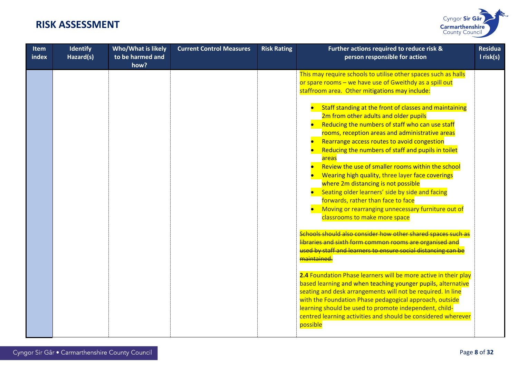

| <b>Item</b><br>index | <b>Identify</b><br>Hazard(s) | Who/What is likely<br>to be harmed and<br>how? | <b>Current Control Measures</b> | <b>Risk Rating</b> | Further actions required to reduce risk &<br>person responsible for action                                                                                                                                                                                                                                                                                                                                                                                                                                                                                                                                                                          | <b>Residua</b><br>I risk(s) |
|----------------------|------------------------------|------------------------------------------------|---------------------------------|--------------------|-----------------------------------------------------------------------------------------------------------------------------------------------------------------------------------------------------------------------------------------------------------------------------------------------------------------------------------------------------------------------------------------------------------------------------------------------------------------------------------------------------------------------------------------------------------------------------------------------------------------------------------------------------|-----------------------------|
|                      |                              |                                                |                                 |                    | This may require schools to utilise other spaces such as halls<br>or spare rooms - we have use of Gweithdy as a spill out<br>staffroom area. Other mitigations may include:                                                                                                                                                                                                                                                                                                                                                                                                                                                                         |                             |
|                      |                              |                                                |                                 |                    | Staff standing at the front of classes and maintaining<br>2m from other adults and older pupils<br>Reducing the numbers of staff who can use staff<br>rooms, reception areas and administrative areas<br>Rearrange access routes to avoid congestion<br>Reducing the numbers of staff and pupils in toilet<br>areas<br>Review the use of smaller rooms within the school<br>Wearing high quality, three layer face coverings<br>where 2m distancing is not possible<br>Seating older learners' side by side and facing<br>forwards, rather than face to face<br>Moving or rearranging unnecessary furniture out of<br>classrooms to make more space |                             |
|                      |                              |                                                |                                 |                    | Schools should also consider how other shared spaces such as<br>libraries and sixth form common rooms are organised and<br>used by staff and learners to ensure social distancing can be<br>maintained.                                                                                                                                                                                                                                                                                                                                                                                                                                             |                             |
|                      |                              |                                                |                                 |                    | 2.4 Foundation Phase learners will be more active in their play<br>based learning and when teaching younger pupils, alternative<br>seating and desk arrangements will not be required. In line<br>with the Foundation Phase pedagogical approach, outside<br>learning should be used to promote independent, child-<br>centred learning activities and should be considered wherever<br>possible                                                                                                                                                                                                                                                    |                             |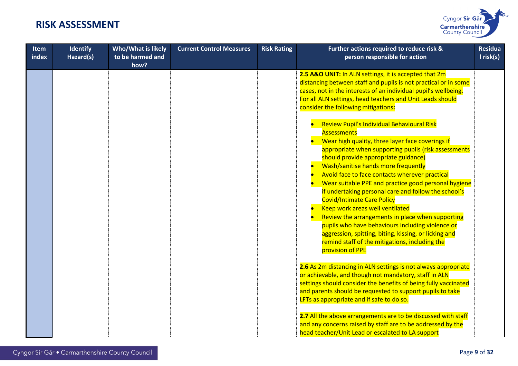

| <b>Item</b><br>index | Identify<br>Hazard(s) | Who/What is likely<br>to be harmed and<br>how? | <b>Current Control Measures</b> | <b>Risk Rating</b> | Further actions required to reduce risk &<br>person responsible for action                                                                                                                                                                                                                                                                                                                                                                                                                                                                                                                                                                                                                                                                   | <b>Residua</b><br>$l$ risk(s) |
|----------------------|-----------------------|------------------------------------------------|---------------------------------|--------------------|----------------------------------------------------------------------------------------------------------------------------------------------------------------------------------------------------------------------------------------------------------------------------------------------------------------------------------------------------------------------------------------------------------------------------------------------------------------------------------------------------------------------------------------------------------------------------------------------------------------------------------------------------------------------------------------------------------------------------------------------|-------------------------------|
|                      |                       |                                                |                                 |                    | 2.5 A&O UNIT: In ALN settings, it is accepted that 2m<br>distancing between staff and pupils is not practical or in some<br>cases, not in the interests of an individual pupil's wellbeing.<br>For all ALN settings, head teachers and Unit Leads should<br>consider the following mitigations:                                                                                                                                                                                                                                                                                                                                                                                                                                              |                               |
|                      |                       |                                                |                                 |                    | Review Pupil's Individual Behavioural Risk<br><b>Assessments</b><br>Wear high quality, three layer face coverings if<br>appropriate when supporting pupils (risk assessments<br>should provide appropriate guidance)<br>Wash/sanitise hands more frequently<br>Avoid face to face contacts wherever practical<br>Wear suitable PPE and practice good personal hygiene<br>if undertaking personal care and follow the school's<br><b>Covid/Intimate Care Policy</b><br>Keep work areas well ventilated<br>Review the arrangements in place when supporting<br>pupils who have behaviours including violence or<br>aggression, spitting, biting, kissing, or licking and<br>remind staff of the mitigations, including the<br>provision of PPE |                               |
|                      |                       |                                                |                                 |                    | 2.6 As 2m distancing in ALN settings is not always appropriate<br>or achievable, and though not mandatory, staff in ALN<br>settings should consider the benefits of being fully vaccinated<br>and parents should be requested to support pupils to take<br>LFTs as appropriate and if safe to do so.                                                                                                                                                                                                                                                                                                                                                                                                                                         |                               |
|                      |                       |                                                |                                 |                    | 2.7 All the above arrangements are to be discussed with staff<br>and any concerns raised by staff are to be addressed by the<br>head teacher/Unit Lead or escalated to LA support                                                                                                                                                                                                                                                                                                                                                                                                                                                                                                                                                            |                               |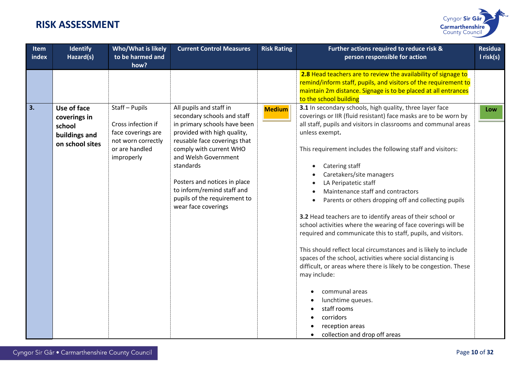

| <b>Item</b><br>index | <b>Identify</b><br>Hazard(s)                                              | Who/What is likely<br>to be harmed and<br>how?                                                                 | <b>Current Control Measures</b>                                                                                                                                                                                                                                                                                                            | <b>Risk Rating</b> | Further actions required to reduce risk &<br>person responsible for action                                                                                                                                                                                                                                                                                                                                                                                                                                                                                                                                                                                                                                                                                                                                                                                                                                                                                                                                                  | <b>Residua</b><br>$l$ risk(s) |
|----------------------|---------------------------------------------------------------------------|----------------------------------------------------------------------------------------------------------------|--------------------------------------------------------------------------------------------------------------------------------------------------------------------------------------------------------------------------------------------------------------------------------------------------------------------------------------------|--------------------|-----------------------------------------------------------------------------------------------------------------------------------------------------------------------------------------------------------------------------------------------------------------------------------------------------------------------------------------------------------------------------------------------------------------------------------------------------------------------------------------------------------------------------------------------------------------------------------------------------------------------------------------------------------------------------------------------------------------------------------------------------------------------------------------------------------------------------------------------------------------------------------------------------------------------------------------------------------------------------------------------------------------------------|-------------------------------|
|                      |                                                                           |                                                                                                                |                                                                                                                                                                                                                                                                                                                                            |                    | 2.8 Head teachers are to review the availability of signage to<br>remind/inform staff, pupils, and visitors of the requirement to<br>maintain 2m distance. Signage is to be placed at all entrances<br>to the school building                                                                                                                                                                                                                                                                                                                                                                                                                                                                                                                                                                                                                                                                                                                                                                                               |                               |
| 3.                   | Use of face<br>coverings in<br>school<br>buildings and<br>on school sites | Staff-Pupils<br>Cross infection if<br>face coverings are<br>not worn correctly<br>or are handled<br>improperly | All pupils and staff in<br>secondary schools and staff<br>in primary schools have been<br>provided with high quality,<br>reusable face coverings that<br>comply with current WHO<br>and Welsh Government<br>standards<br>Posters and notices in place<br>to inform/remind staff and<br>pupils of the requirement to<br>wear face coverings | <b>Medium</b>      | 3.1 In secondary schools, high quality, three layer face<br>coverings or IIR (fluid resistant) face masks are to be worn by<br>all staff, pupils and visitors in classrooms and communal areas<br>unless exempt.<br>This requirement includes the following staff and visitors:<br>Catering staff<br>$\bullet$<br>Caretakers/site managers<br>LA Peripatetic staff<br>Maintenance staff and contractors<br>Parents or others dropping off and collecting pupils<br>$\bullet$<br>3.2 Head teachers are to identify areas of their school or<br>school activities where the wearing of face coverings will be<br>required and communicate this to staff, pupils, and visitors.<br>This should reflect local circumstances and is likely to include<br>spaces of the school, activities where social distancing is<br>difficult, or areas where there is likely to be congestion. These<br>may include:<br>communal areas<br>lunchtime queues.<br>staff rooms<br>corridors<br>reception areas<br>collection and drop off areas | Low                           |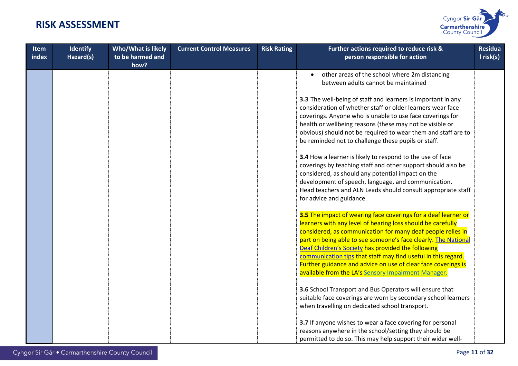

| Item<br>index | <b>Identify</b><br>Hazard(s) | <b>Who/What is likely</b><br>to be harmed and<br>how? | <b>Current Control Measures</b> | <b>Risk Rating</b> | Further actions required to reduce risk &<br>person responsible for action                                                                                                                                                                                                                                                                                                                                                                                                                                    | <b>Residua</b><br>I risk(s) |
|---------------|------------------------------|-------------------------------------------------------|---------------------------------|--------------------|---------------------------------------------------------------------------------------------------------------------------------------------------------------------------------------------------------------------------------------------------------------------------------------------------------------------------------------------------------------------------------------------------------------------------------------------------------------------------------------------------------------|-----------------------------|
|               |                              |                                                       |                                 |                    | other areas of the school where 2m distancing<br>between adults cannot be maintained                                                                                                                                                                                                                                                                                                                                                                                                                          |                             |
|               |                              |                                                       |                                 |                    | 3.3 The well-being of staff and learners is important in any<br>consideration of whether staff or older learners wear face<br>coverings. Anyone who is unable to use face coverings for<br>health or wellbeing reasons (these may not be visible or<br>obvious) should not be required to wear them and staff are to<br>be reminded not to challenge these pupils or staff.                                                                                                                                   |                             |
|               |                              |                                                       |                                 |                    | 3.4 How a learner is likely to respond to the use of face<br>coverings by teaching staff and other support should also be<br>considered, as should any potential impact on the<br>development of speech, language, and communication.<br>Head teachers and ALN Leads should consult appropriate staff<br>for advice and guidance.                                                                                                                                                                             |                             |
|               |                              |                                                       |                                 |                    | 3.5 The impact of wearing face coverings for a deaf learner or<br>learners with any level of hearing loss should be carefully<br>considered, as communication for many deaf people relies in<br>part on being able to see someone's face clearly. The National<br>Deaf Children's Society has provided the following<br>communication tips that staff may find useful in this regard.<br>Further guidance and advice on use of clear face coverings is<br>available from the LA's Sensory Impairment Manager. |                             |
|               |                              |                                                       |                                 |                    | 3.6 School Transport and Bus Operators will ensure that<br>suitable face coverings are worn by secondary school learners<br>when travelling on dedicated school transport.                                                                                                                                                                                                                                                                                                                                    |                             |
|               |                              |                                                       |                                 |                    | 3.7 If anyone wishes to wear a face covering for personal<br>reasons anywhere in the school/setting they should be<br>permitted to do so. This may help support their wider well-                                                                                                                                                                                                                                                                                                                             |                             |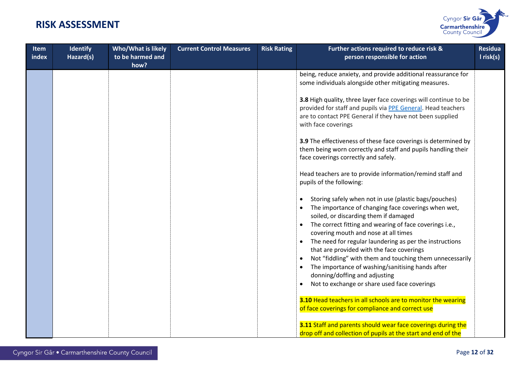

| <b>Item</b><br>index | <b>Identify</b><br>Hazard(s) | Who/What is likely<br>to be harmed and<br>how? | <b>Current Control Measures</b> | <b>Risk Rating</b> | Further actions required to reduce risk &<br>person responsible for action                                                                                                                                                                                                                                                      | <b>Residua</b><br>I risk(s) |
|----------------------|------------------------------|------------------------------------------------|---------------------------------|--------------------|---------------------------------------------------------------------------------------------------------------------------------------------------------------------------------------------------------------------------------------------------------------------------------------------------------------------------------|-----------------------------|
|                      |                              |                                                |                                 |                    | being, reduce anxiety, and provide additional reassurance for<br>some individuals alongside other mitigating measures.                                                                                                                                                                                                          |                             |
|                      |                              |                                                |                                 |                    | 3.8 High quality, three layer face coverings will continue to be<br>provided for staff and pupils via PPE General. Head teachers<br>are to contact PPE General if they have not been supplied<br>with face coverings                                                                                                            |                             |
|                      |                              |                                                |                                 |                    | 3.9 The effectiveness of these face coverings is determined by<br>them being worn correctly and staff and pupils handling their<br>face coverings correctly and safely.                                                                                                                                                         |                             |
|                      |                              |                                                |                                 |                    | Head teachers are to provide information/remind staff and<br>pupils of the following:                                                                                                                                                                                                                                           |                             |
|                      |                              |                                                |                                 |                    | Storing safely when not in use (plastic bags/pouches)<br>$\bullet$<br>The importance of changing face coverings when wet,<br>soiled, or discarding them if damaged<br>The correct fitting and wearing of face coverings i.e.,<br>covering mouth and nose at all times                                                           |                             |
|                      |                              |                                                |                                 |                    | The need for regular laundering as per the instructions<br>$\bullet$<br>that are provided with the face coverings<br>Not "fiddling" with them and touching them unnecessarily<br>The importance of washing/sanitising hands after<br>donning/doffing and adjusting<br>Not to exchange or share used face coverings<br>$\bullet$ |                             |
|                      |                              |                                                |                                 |                    | 3.10 Head teachers in all schools are to monitor the wearing<br>of face coverings for compliance and correct use                                                                                                                                                                                                                |                             |
|                      |                              |                                                |                                 |                    | 3.11 Staff and parents should wear face coverings during the<br>drop off and collection of pupils at the start and end of the                                                                                                                                                                                                   |                             |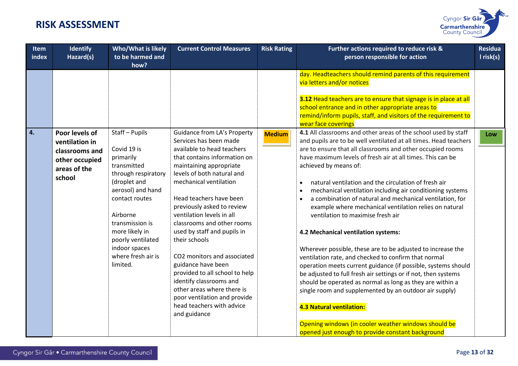

|                                                                                                                  | to be harmed and<br>how?                                                                                                                                                                                                                           | <b>Current Control Measures</b>                                                                                                                                                                                                                                                                                                                                                                                                                                                                                                                                                                         | <b>Risk Rating</b> | Further actions required to reduce risk &<br>person responsible for action                                                                                                                                                                                                                                                                                                                                                                                                                                                                                                                                                                                                                                                                                                                                                                                                                                                                                                                                                                                                                                                                      | <b>Residua</b><br>I risk(s) |
|------------------------------------------------------------------------------------------------------------------|----------------------------------------------------------------------------------------------------------------------------------------------------------------------------------------------------------------------------------------------------|---------------------------------------------------------------------------------------------------------------------------------------------------------------------------------------------------------------------------------------------------------------------------------------------------------------------------------------------------------------------------------------------------------------------------------------------------------------------------------------------------------------------------------------------------------------------------------------------------------|--------------------|-------------------------------------------------------------------------------------------------------------------------------------------------------------------------------------------------------------------------------------------------------------------------------------------------------------------------------------------------------------------------------------------------------------------------------------------------------------------------------------------------------------------------------------------------------------------------------------------------------------------------------------------------------------------------------------------------------------------------------------------------------------------------------------------------------------------------------------------------------------------------------------------------------------------------------------------------------------------------------------------------------------------------------------------------------------------------------------------------------------------------------------------------|-----------------------------|
|                                                                                                                  |                                                                                                                                                                                                                                                    |                                                                                                                                                                                                                                                                                                                                                                                                                                                                                                                                                                                                         |                    | day. Headteachers should remind parents of this requirement<br>via letters and/or notices<br>3.12 Head teachers are to ensure that signage is in place at all<br>school entrance and in other appropriate areas to<br>remind/inform pupils, staff, and visitors of the requirement to<br>wear face coverings                                                                                                                                                                                                                                                                                                                                                                                                                                                                                                                                                                                                                                                                                                                                                                                                                                    |                             |
| 4.<br>Poor levels of<br>ventilation in<br>classrooms and<br>other occupied<br>areas of the<br>school<br>limited. | Staff-Pupils<br>Covid 19 is<br>primarily<br>transmitted<br>through respiratory<br>(droplet and<br>aerosol) and hand<br>contact routes<br>Airborne<br>transmission is<br>more likely in<br>poorly ventilated<br>indoor spaces<br>where fresh air is | Guidance from LA's Property<br>Services has been made<br>available to head teachers<br>that contains information on<br>maintaining appropriate<br>levels of both natural and<br>mechanical ventilation<br>Head teachers have been<br>previously asked to review<br>ventilation levels in all<br>classrooms and other rooms<br>used by staff and pupils in<br>their schools<br>CO2 monitors and associated<br>guidance have been<br>provided to all school to help<br>identify classrooms and<br>other areas where there is<br>poor ventilation and provide<br>head teachers with advice<br>and guidance | <b>Medium</b>      | 4.1 All classrooms and other areas of the school used by staff<br>and pupils are to be well ventilated at all times. Head teachers<br>are to ensure that all classrooms and other occupied rooms<br>have maximum levels of fresh air at all times. This can be<br>achieved by means of:<br>natural ventilation and the circulation of fresh air<br>mechanical ventilation including air conditioning systems<br>a combination of natural and mechanical ventilation, for<br>example where mechanical ventilation relies on natural<br>ventilation to maximise fresh air<br>4.2 Mechanical ventilation systems:<br>Wherever possible, these are to be adjusted to increase the<br>ventilation rate, and checked to confirm that normal<br>operation meets current guidance (if possible, systems should<br>be adjusted to full fresh air settings or if not, then systems<br>should be operated as normal as long as they are within a<br>single room and supplemented by an outdoor air supply)<br><b>4.3 Natural ventilation:</b><br>Opening windows (in cooler weather windows should be<br>opened just enough to provide constant background | Low                         |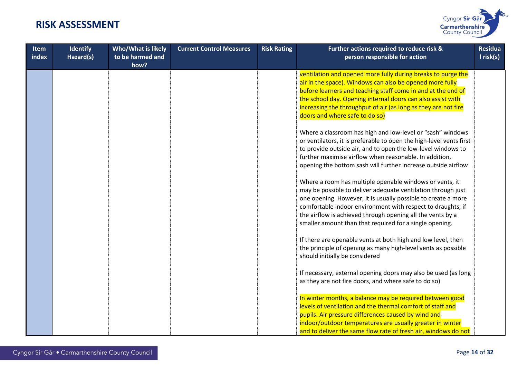

| <b>Item</b><br>index | <b>Identify</b><br>Hazard(s) | <b>Who/What is likely</b><br>to be harmed and<br>how? | <b>Current Control Measures</b> | <b>Risk Rating</b> | Further actions required to reduce risk &<br>person responsible for action                                                                                                                                                                                                                                                                                                       | <b>Residua</b><br>I risk(s) |
|----------------------|------------------------------|-------------------------------------------------------|---------------------------------|--------------------|----------------------------------------------------------------------------------------------------------------------------------------------------------------------------------------------------------------------------------------------------------------------------------------------------------------------------------------------------------------------------------|-----------------------------|
|                      |                              |                                                       |                                 |                    | ventilation and opened more fully during breaks to purge the<br>air in the space). Windows can also be opened more fully<br>before learners and teaching staff come in and at the end of<br>the school day. Opening internal doors can also assist with<br>increasing the throughput of air (as long as they are not fire<br>doors and where safe to do so)                      |                             |
|                      |                              |                                                       |                                 |                    | Where a classroom has high and low-level or "sash" windows<br>or ventilators, it is preferable to open the high-level vents first<br>to provide outside air, and to open the low-level windows to<br>further maximise airflow when reasonable. In addition,<br>opening the bottom sash will further increase outside airflow                                                     |                             |
|                      |                              |                                                       |                                 |                    | Where a room has multiple openable windows or vents, it<br>may be possible to deliver adequate ventilation through just<br>one opening. However, it is usually possible to create a more<br>comfortable indoor environment with respect to draughts, if<br>the airflow is achieved through opening all the vents by a<br>smaller amount than that required for a single opening. |                             |
|                      |                              |                                                       |                                 |                    | If there are openable vents at both high and low level, then<br>the principle of opening as many high-level vents as possible<br>should initially be considered                                                                                                                                                                                                                  |                             |
|                      |                              |                                                       |                                 |                    | If necessary, external opening doors may also be used (as long<br>as they are not fire doors, and where safe to do so)                                                                                                                                                                                                                                                           |                             |
|                      |                              |                                                       |                                 |                    | In winter months, a balance may be required between good<br>levels of ventilation and the thermal comfort of staff and<br>pupils. Air pressure differences caused by wind and<br>indoor/outdoor temperatures are usually greater in winter<br>and to deliver the same flow rate of fresh air, windows do not                                                                     |                             |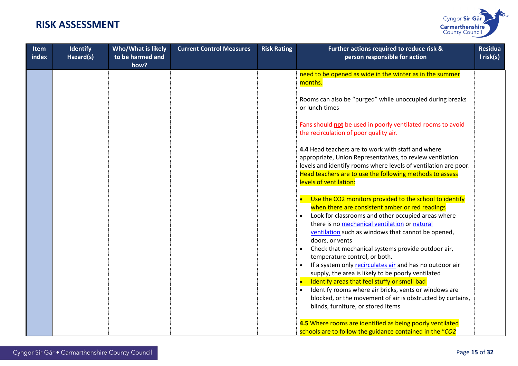

| <b>Item</b><br>index | <b>Identify</b><br>Hazard(s) | Who/What is likely<br>to be harmed and<br>how? | <b>Current Control Measures</b> | <b>Risk Rating</b> | Further actions required to reduce risk &<br>person responsible for action                                                                                                                                                                                                                                                                                                                                         | <b>Residua</b><br>I risk(s) |
|----------------------|------------------------------|------------------------------------------------|---------------------------------|--------------------|--------------------------------------------------------------------------------------------------------------------------------------------------------------------------------------------------------------------------------------------------------------------------------------------------------------------------------------------------------------------------------------------------------------------|-----------------------------|
|                      |                              |                                                |                                 |                    | need to be opened as wide in the winter as in the summer<br>months.                                                                                                                                                                                                                                                                                                                                                |                             |
|                      |                              |                                                |                                 |                    | Rooms can also be "purged" while unoccupied during breaks<br>or lunch times                                                                                                                                                                                                                                                                                                                                        |                             |
|                      |                              |                                                |                                 |                    | Fans should not be used in poorly ventilated rooms to avoid<br>the recirculation of poor quality air.                                                                                                                                                                                                                                                                                                              |                             |
|                      |                              |                                                |                                 |                    | 4.4 Head teachers are to work with staff and where<br>appropriate, Union Representatives, to review ventilation<br>levels and identify rooms where levels of ventilation are poor.<br>Head teachers are to use the following methods to assess<br>levels of ventilation:                                                                                                                                           |                             |
|                      |                              |                                                |                                 |                    | Use the CO2 monitors provided to the school to identify<br>when there are consistent amber or red readings<br>Look for classrooms and other occupied areas where<br>there is no mechanical ventilation or natural<br>ventilation such as windows that cannot be opened,<br>doors, or vents                                                                                                                         |                             |
|                      |                              |                                                |                                 |                    | Check that mechanical systems provide outdoor air,<br>temperature control, or both.<br>If a system only recirculates air and has no outdoor air<br>supply, the area is likely to be poorly ventilated<br>Identify areas that feel stuffy or smell bad<br>Identify rooms where air bricks, vents or windows are<br>blocked, or the movement of air is obstructed by curtains,<br>blinds, furniture, or stored items |                             |
|                      |                              |                                                |                                 |                    | 4.5 Where rooms are identified as being poorly ventilated<br>schools are to follow the guidance contained in the "CO2                                                                                                                                                                                                                                                                                              |                             |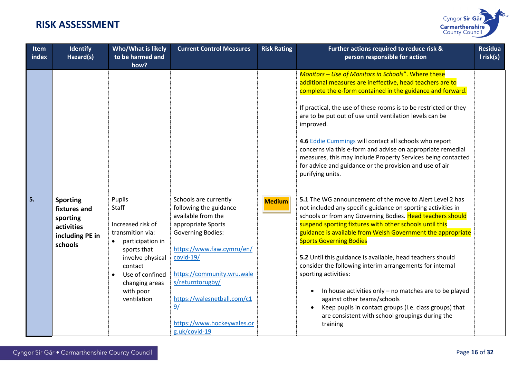

| I risk(s)<br>person responsible for action                                                                                                                                                                                                                                                                                                                                                                                                                                                                                                                                                                                                       |
|--------------------------------------------------------------------------------------------------------------------------------------------------------------------------------------------------------------------------------------------------------------------------------------------------------------------------------------------------------------------------------------------------------------------------------------------------------------------------------------------------------------------------------------------------------------------------------------------------------------------------------------------------|
| Monitors - Use of Monitors in Schools". Where these<br>additional measures are ineffective, head teachers are to<br>complete the e-form contained in the guidance and forward.                                                                                                                                                                                                                                                                                                                                                                                                                                                                   |
| If practical, the use of these rooms is to be restricted or they<br>are to be put out of use until ventilation levels can be                                                                                                                                                                                                                                                                                                                                                                                                                                                                                                                     |
| 4.6 Eddie Cummings will contact all schools who report<br>concerns via this e-form and advise on appropriate remedial<br>measures, this may include Property Services being contacted<br>for advice and guidance or the provision and use of air                                                                                                                                                                                                                                                                                                                                                                                                 |
| 5.1 The WG announcement of the move to Alert Level 2 has<br>not included any specific guidance on sporting activities in<br>schools or from any Governing Bodies. Head teachers should<br>suspend sporting fixtures with other schools until this<br>guidance is available from Welsh Government the appropriate<br>5.2 Until this guidance is available, head teachers should<br>consider the following interim arrangements for internal<br>In house activities only - no matches are to be played<br>against other teams/schools<br>Keep pupils in contact groups (i.e. class groups) that<br>are consistent with school groupings during the |
|                                                                                                                                                                                                                                                                                                                                                                                                                                                                                                                                                                                                                                                  |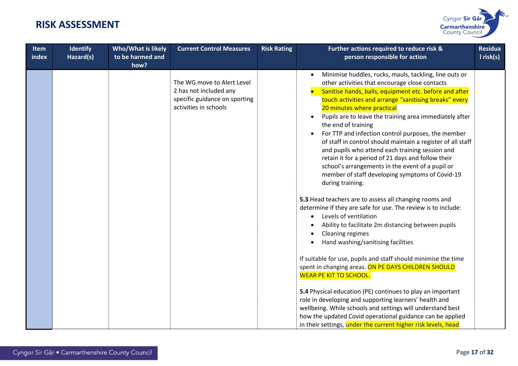

| <b>Item</b><br>index | <b>Identify</b><br>Hazard(s) | <b>Who/What is likely</b><br>to be harmed and<br>how? | <b>Current Control Measures</b>                                                                                | <b>Risk Rating</b> | Further actions required to reduce risk &<br>person responsible for action                                                                                                                                                                                                                                                                                                                                                                                                                                                                                                                                                                                                                                                                                                                                                                                                                                                                                                                                                                                                                                                                                                                                                                                                                                                                                                                                                                                           | <b>Residua</b><br>$l$ risk(s) |
|----------------------|------------------------------|-------------------------------------------------------|----------------------------------------------------------------------------------------------------------------|--------------------|----------------------------------------------------------------------------------------------------------------------------------------------------------------------------------------------------------------------------------------------------------------------------------------------------------------------------------------------------------------------------------------------------------------------------------------------------------------------------------------------------------------------------------------------------------------------------------------------------------------------------------------------------------------------------------------------------------------------------------------------------------------------------------------------------------------------------------------------------------------------------------------------------------------------------------------------------------------------------------------------------------------------------------------------------------------------------------------------------------------------------------------------------------------------------------------------------------------------------------------------------------------------------------------------------------------------------------------------------------------------------------------------------------------------------------------------------------------------|-------------------------------|
|                      |                              |                                                       | The WG move to Alert Level<br>2 has not included any<br>specific guidance on sporting<br>activities in schools |                    | Minimise huddles, rucks, mauls, tackling, line outs or<br>other activities that encourage close contacts<br>Sanitise hands, balls, equipment etc. before and after<br>touch activities and arrange "sanitising breaks" every<br>20 minutes where practical<br>Pupils are to leave the training area immediately after<br>the end of training<br>For TTP and infection control purposes, the member<br>of staff in control should maintain a register of all staff<br>and pupils who attend each training session and<br>retain it for a period of 21 days and follow their<br>school's arrangements in the event of a pupil or<br>member of staff developing symptoms of Covid-19<br>during training.<br>5.3 Head teachers are to assess all changing rooms and<br>determine if they are safe for use. The review is to include:<br>Levels of ventilation<br>Ability to facilitate 2m distancing between pupils<br>Cleaning regimes<br>$\bullet$<br>Hand washing/sanitising facilities<br>If suitable for use, pupils and staff should minimise the time<br>spent in changing areas. ON PE DAYS CHILDREN SHOULD<br><b>WEAR PE KIT TO SCHOOL.</b><br>5.4 Physical education (PE) continues to play an important<br>role in developing and supporting learners' health and<br>wellbeing. While schools and settings will understand best<br>how the updated Covid operational guidance can be applied<br>in their settings, under the current higher risk levels, head |                               |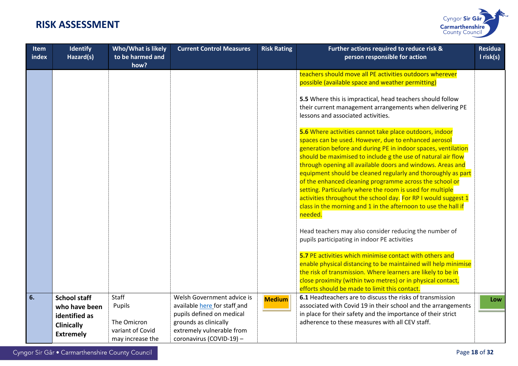

| <b>Item</b><br>index | <b>Identify</b><br>Hazard(s)                                                                   | <b>Who/What is likely</b><br>to be harmed and<br>how?                  | <b>Current Control Measures</b>                                                                                                                                           | <b>Risk Rating</b> | Further actions required to reduce risk &<br>person responsible for action                                                                                                                                                                                                                                                                                                                                                                                                                                                                                                                                                                            | <b>Residua</b><br>$l$ risk(s) |
|----------------------|------------------------------------------------------------------------------------------------|------------------------------------------------------------------------|---------------------------------------------------------------------------------------------------------------------------------------------------------------------------|--------------------|-------------------------------------------------------------------------------------------------------------------------------------------------------------------------------------------------------------------------------------------------------------------------------------------------------------------------------------------------------------------------------------------------------------------------------------------------------------------------------------------------------------------------------------------------------------------------------------------------------------------------------------------------------|-------------------------------|
|                      |                                                                                                |                                                                        |                                                                                                                                                                           |                    | teachers should move all PE activities outdoors wherever<br>possible (available space and weather permitting)                                                                                                                                                                                                                                                                                                                                                                                                                                                                                                                                         |                               |
|                      |                                                                                                |                                                                        |                                                                                                                                                                           |                    | 5.5 Where this is impractical, head teachers should follow<br>their current management arrangements when delivering PE<br>lessons and associated activities.                                                                                                                                                                                                                                                                                                                                                                                                                                                                                          |                               |
|                      |                                                                                                |                                                                        |                                                                                                                                                                           |                    | 5.6 Where activities cannot take place outdoors, indoor<br>spaces can be used. However, due to enhanced aerosol<br>generation before and during PE in indoor spaces, ventilation<br>should be maximised to include g the use of natural air flow<br>through opening all available doors and windows. Areas and<br>equipment should be cleaned regularly and thoroughly as part<br>of the enhanced cleaning programme across the school or<br>setting. Particularly where the room is used for multiple<br>activities throughout the school day. For RP I would suggest 1<br>class in the morning and 1 in the afternoon to use the hall if<br>needed. |                               |
|                      |                                                                                                |                                                                        |                                                                                                                                                                           |                    | Head teachers may also consider reducing the number of<br>pupils participating in indoor PE activities                                                                                                                                                                                                                                                                                                                                                                                                                                                                                                                                                |                               |
|                      |                                                                                                |                                                                        |                                                                                                                                                                           |                    | 5.7 PE activities which minimise contact with others and<br>enable physical distancing to be maintained will help minimise<br>the risk of transmission. Where learners are likely to be in<br>close proximity (within two metres) or in physical contact,<br>efforts should be made to limit this contact.                                                                                                                                                                                                                                                                                                                                            |                               |
| 6.                   | <b>School staff</b><br>who have been<br>identified as<br><b>Clinically</b><br><b>Extremely</b> | Staff<br>Pupils<br>The Omicron<br>variant of Covid<br>may increase the | Welsh Government advice is<br>available here for staff and<br>pupils defined on medical<br>grounds as clinically<br>extremely vulnerable from<br>coronavirus (COVID-19) - | <b>Medium</b>      | 6.1 Headteachers are to discuss the risks of transmission<br>associated with Covid 19 in their school and the arrangements<br>in place for their safety and the importance of their strict<br>adherence to these measures with all CEV staff.                                                                                                                                                                                                                                                                                                                                                                                                         | Low                           |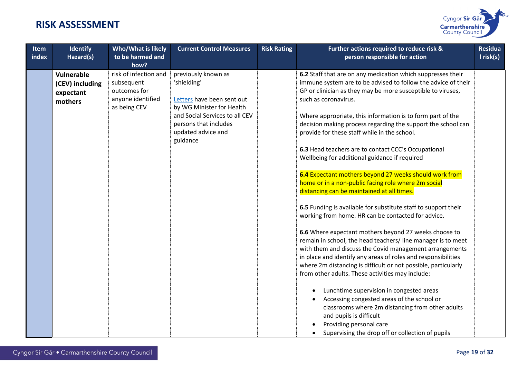

| <b>Item</b><br>index | <b>Identify</b><br>Hazard(s)                          | <b>Who/What is likely</b><br>to be harmed and<br>how?                                    | <b>Current Control Measures</b>                                                                                                                                                            | <b>Risk Rating</b> | Further actions required to reduce risk &<br>person responsible for action                                                                                                                                                                                                                                                                                                                                                                                                                                                                                                                                                                                                                                                                                                                                                                                                                                                                                                                                                                                                                                                                                                  | <b>Residua</b><br>$l$ risk(s) |
|----------------------|-------------------------------------------------------|------------------------------------------------------------------------------------------|--------------------------------------------------------------------------------------------------------------------------------------------------------------------------------------------|--------------------|-----------------------------------------------------------------------------------------------------------------------------------------------------------------------------------------------------------------------------------------------------------------------------------------------------------------------------------------------------------------------------------------------------------------------------------------------------------------------------------------------------------------------------------------------------------------------------------------------------------------------------------------------------------------------------------------------------------------------------------------------------------------------------------------------------------------------------------------------------------------------------------------------------------------------------------------------------------------------------------------------------------------------------------------------------------------------------------------------------------------------------------------------------------------------------|-------------------------------|
|                      | Vulnerable<br>(CEV) including<br>expectant<br>mothers | risk of infection and<br>subsequent<br>outcomes for<br>anyone identified<br>as being CEV | previously known as<br>'shielding'<br>Letters have been sent out<br>by WG Minister for Health<br>and Social Services to all CEV<br>persons that includes<br>updated advice and<br>guidance |                    | 6.2 Staff that are on any medication which suppresses their<br>immune system are to be advised to follow the advice of their<br>GP or clinician as they may be more susceptible to viruses,<br>such as coronavirus.<br>Where appropriate, this information is to form part of the<br>decision making process regarding the support the school can<br>provide for these staff while in the school.<br>6.3 Head teachers are to contact CCC's Occupational<br>Wellbeing for additional guidance if required<br>6.4 Expectant mothers beyond 27 weeks should work from<br>home or in a non-public facing role where 2m social<br>distancing can be maintained at all times.<br>6.5 Funding is available for substitute staff to support their<br>working from home. HR can be contacted for advice.<br>6.6 Where expectant mothers beyond 27 weeks choose to<br>remain in school, the head teachers/ line manager is to meet<br>with them and discuss the Covid management arrangements<br>in place and identify any areas of roles and responsibilities<br>where 2m distancing is difficult or not possible, particularly<br>from other adults. These activities may include: |                               |
|                      |                                                       |                                                                                          |                                                                                                                                                                                            |                    | Lunchtime supervision in congested areas<br>Accessing congested areas of the school or<br>classrooms where 2m distancing from other adults<br>and pupils is difficult<br>Providing personal care<br>Supervising the drop off or collection of pupils                                                                                                                                                                                                                                                                                                                                                                                                                                                                                                                                                                                                                                                                                                                                                                                                                                                                                                                        |                               |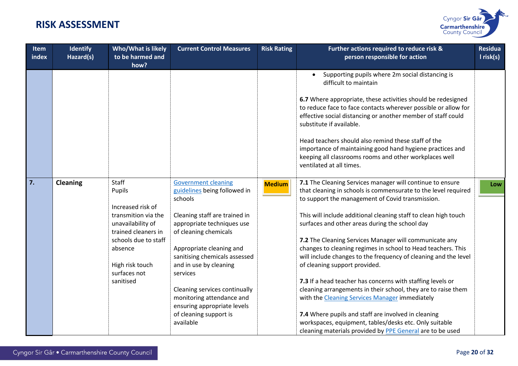

| Item<br>index | Identify<br>Hazard(s) | Who/What is likely<br>to be harmed and<br>how?                                       | <b>Current Control Measures</b>                                                      | <b>Risk Rating</b> | Further actions required to reduce risk &<br>person responsible for action                                                                                                                                                 | <b>Residua</b><br>I risk(s) |
|---------------|-----------------------|--------------------------------------------------------------------------------------|--------------------------------------------------------------------------------------|--------------------|----------------------------------------------------------------------------------------------------------------------------------------------------------------------------------------------------------------------------|-----------------------------|
|               |                       |                                                                                      |                                                                                      |                    | Supporting pupils where 2m social distancing is<br>difficult to maintain                                                                                                                                                   |                             |
|               |                       |                                                                                      |                                                                                      |                    | 6.7 Where appropriate, these activities should be redesigned<br>to reduce face to face contacts wherever possible or allow for<br>effective social distancing or another member of staff could<br>substitute if available. |                             |
|               |                       |                                                                                      |                                                                                      |                    | Head teachers should also remind these staff of the<br>importance of maintaining good hand hygiene practices and<br>keeping all classrooms rooms and other workplaces well<br>ventilated at all times.                     |                             |
| 7.            | <b>Cleaning</b>       | Staff<br>Pupils                                                                      | <b>Government cleaning</b><br>guidelines being followed in<br>schools                | <b>Medium</b>      | 7.1 The Cleaning Services manager will continue to ensure<br>that cleaning in schools is commensurate to the level required<br>to support the management of Covid transmission.                                            | Low                         |
|               |                       | Increased risk of<br>transmition via the<br>unavailability of<br>trained cleaners in | Cleaning staff are trained in<br>appropriate techniques use<br>of cleaning chemicals |                    | This will include additional cleaning staff to clean high touch<br>surfaces and other areas during the school day                                                                                                          |                             |
|               |                       | schools due to staff                                                                 |                                                                                      |                    | 7.2 The Cleaning Services Manager will communicate any                                                                                                                                                                     |                             |
|               |                       | absence                                                                              | Appropriate cleaning and<br>sanitising chemicals assessed                            |                    | changes to cleaning regimes in school to Head teachers. This<br>will include changes to the frequency of cleaning and the level                                                                                            |                             |
|               |                       | High risk touch<br>surfaces not                                                      | and in use by cleaning<br>services                                                   |                    | of cleaning support provided.                                                                                                                                                                                              |                             |
|               |                       | sanitised                                                                            |                                                                                      |                    | 7.3 If a head teacher has concerns with staffing levels or                                                                                                                                                                 |                             |
|               |                       |                                                                                      | Cleaning services continually<br>monitoring attendance and                           |                    | cleaning arrangements in their school, they are to raise them<br>with the Cleaning Services Manager immediately                                                                                                            |                             |
|               |                       |                                                                                      | ensuring appropriate levels                                                          |                    |                                                                                                                                                                                                                            |                             |
|               |                       |                                                                                      | of cleaning support is                                                               |                    | 7.4 Where pupils and staff are involved in cleaning                                                                                                                                                                        |                             |
|               |                       |                                                                                      | available                                                                            |                    | workspaces, equipment, tables/desks etc. Only suitable                                                                                                                                                                     |                             |
|               |                       |                                                                                      |                                                                                      |                    | cleaning materials provided by PPE General are to be used                                                                                                                                                                  |                             |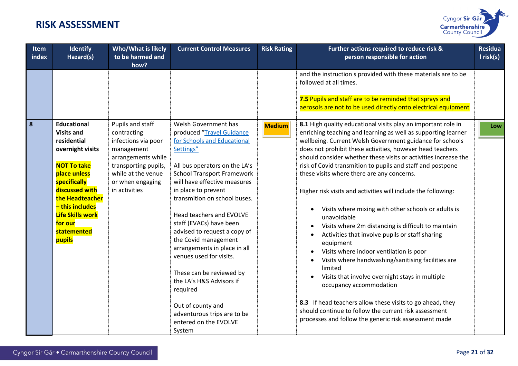

| Item<br>index | <b>Identify</b><br>Hazard(s)                                                                                                                                                                                                                            | Who/What is likely<br>to be harmed and<br>how?                                                                                                                                | <b>Current Control Measures</b>                                                                                                                                                                                                                                                                                                                                                                                                                                                                                                                                                                 | <b>Risk Rating</b> | Further actions required to reduce risk &<br>person responsible for action                                                                                                                                                                                                                                                                                                                                                                                                                                                                                                                                                                                                                                                                                                                                                                                                                                                                                                                                                                                                                                           | <b>Residua</b><br>I risk(s) |
|---------------|---------------------------------------------------------------------------------------------------------------------------------------------------------------------------------------------------------------------------------------------------------|-------------------------------------------------------------------------------------------------------------------------------------------------------------------------------|-------------------------------------------------------------------------------------------------------------------------------------------------------------------------------------------------------------------------------------------------------------------------------------------------------------------------------------------------------------------------------------------------------------------------------------------------------------------------------------------------------------------------------------------------------------------------------------------------|--------------------|----------------------------------------------------------------------------------------------------------------------------------------------------------------------------------------------------------------------------------------------------------------------------------------------------------------------------------------------------------------------------------------------------------------------------------------------------------------------------------------------------------------------------------------------------------------------------------------------------------------------------------------------------------------------------------------------------------------------------------------------------------------------------------------------------------------------------------------------------------------------------------------------------------------------------------------------------------------------------------------------------------------------------------------------------------------------------------------------------------------------|-----------------------------|
|               |                                                                                                                                                                                                                                                         |                                                                                                                                                                               |                                                                                                                                                                                                                                                                                                                                                                                                                                                                                                                                                                                                 |                    | and the instruction s provided with these materials are to be<br>followed at all times.<br>7.5 Pupils and staff are to be reminded that sprays and<br>aerosols are not to be used directly onto electrical equipment                                                                                                                                                                                                                                                                                                                                                                                                                                                                                                                                                                                                                                                                                                                                                                                                                                                                                                 |                             |
| 8             | <b>Educational</b><br><b>Visits and</b><br>residential<br>overnight visits<br><b>NOT To take</b><br>place unless<br>specifically<br>discussed with<br>the Headteacher<br>- this includes<br><b>Life Skills work</b><br>for our<br>statemented<br>pupils | Pupils and staff<br>contracting<br>infections via poor<br>management<br>arrangements while<br>transporting pupils,<br>while at the venue<br>or when engaging<br>in activities | Welsh Government has<br>produced "Travel Guidance<br>for Schools and Educational<br>Settings"<br>All bus operators on the LA's<br><b>School Transport Framework</b><br>will have effective measures<br>in place to prevent<br>transmition on school buses.<br>Head teachers and EVOLVE<br>staff (EVACs) have been<br>advised to request a copy of<br>the Covid management<br>arrangements in place in all<br>venues used for visits.<br>These can be reviewed by<br>the LA's H&S Advisors if<br>required<br>Out of county and<br>adventurous trips are to be<br>entered on the EVOLVE<br>System | <b>Medium</b>      | 8.1 High quality educational visits play an important role in<br>enriching teaching and learning as well as supporting learner<br>wellbeing. Current Welsh Government guidance for schools<br>does not prohibit these activities, however head teachers<br>should consider whether these visits or activities increase the<br>risk of Covid transmition to pupils and staff and postpone<br>these visits where there are any concerns.<br>Higher risk visits and activities will include the following:<br>Visits where mixing with other schools or adults is<br>unavoidable<br>Visits where 2m distancing is difficult to maintain<br>$\bullet$<br>Activities that involve pupils or staff sharing<br>equipment<br>Visits where indoor ventilation is poor<br>Visits where handwashing/sanitising facilities are<br>$\bullet$<br>limited<br>Visits that involve overnight stays in multiple<br>$\bullet$<br>occupancy accommodation<br>8.3 If head teachers allow these visits to go ahead, they<br>should continue to follow the current risk assessment<br>processes and follow the generic risk assessment made | Low                         |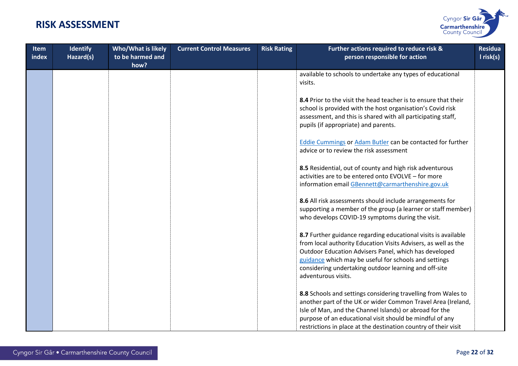

| Item<br>index | <b>Identify</b><br>Hazard(s) | Who/What is likely<br>to be harmed and<br>how? | <b>Current Control Measures</b> | <b>Risk Rating</b> | Further actions required to reduce risk &<br>person responsible for action                                                                                                                                                                                                                                                         | <b>Residua</b><br>$l$ risk(s) |
|---------------|------------------------------|------------------------------------------------|---------------------------------|--------------------|------------------------------------------------------------------------------------------------------------------------------------------------------------------------------------------------------------------------------------------------------------------------------------------------------------------------------------|-------------------------------|
|               |                              |                                                |                                 |                    | available to schools to undertake any types of educational<br>visits.                                                                                                                                                                                                                                                              |                               |
|               |                              |                                                |                                 |                    | 8.4 Prior to the visit the head teacher is to ensure that their<br>school is provided with the host organisation's Covid risk<br>assessment, and this is shared with all participating staff,<br>pupils (if appropriate) and parents.                                                                                              |                               |
|               |                              |                                                |                                 |                    | <b>Eddie Cummings or Adam Butler can be contacted for further</b><br>advice or to review the risk assessment                                                                                                                                                                                                                       |                               |
|               |                              |                                                |                                 |                    | 8.5 Residential, out of county and high risk adventurous<br>activities are to be entered onto EVOLVE - for more<br>information email GBennett@carmarthenshire.gov.uk                                                                                                                                                               |                               |
|               |                              |                                                |                                 |                    | 8.6 All risk assessments should include arrangements for<br>supporting a member of the group (a learner or staff member)<br>who develops COVID-19 symptoms during the visit.                                                                                                                                                       |                               |
|               |                              |                                                |                                 |                    | 8.7 Further guidance regarding educational visits is available<br>from local authority Education Visits Advisers, as well as the<br>Outdoor Education Advisers Panel, which has developed<br>guidance which may be useful for schools and settings<br>considering undertaking outdoor learning and off-site<br>adventurous visits. |                               |
|               |                              |                                                |                                 |                    | 8.8 Schools and settings considering travelling from Wales to<br>another part of the UK or wider Common Travel Area (Ireland,<br>Isle of Man, and the Channel Islands) or abroad for the<br>purpose of an educational visit should be mindful of any<br>restrictions in place at the destination country of their visit            |                               |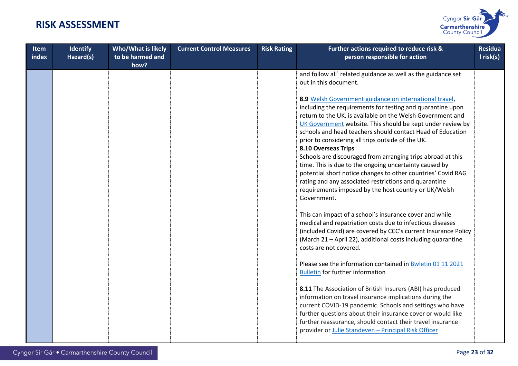

| Item<br>index | <b>Identify</b><br>Hazard(s) | Who/What is likely<br>to be harmed and<br>how? | <b>Current Control Measures</b> | <b>Risk Rating</b> | Further actions required to reduce risk &<br>person responsible for action                                                                                                                                                                                                                                                                                                                                                                                                                                                                                                                                                                                                                                          | <b>Residua</b><br>I risk(s) |
|---------------|------------------------------|------------------------------------------------|---------------------------------|--------------------|---------------------------------------------------------------------------------------------------------------------------------------------------------------------------------------------------------------------------------------------------------------------------------------------------------------------------------------------------------------------------------------------------------------------------------------------------------------------------------------------------------------------------------------------------------------------------------------------------------------------------------------------------------------------------------------------------------------------|-----------------------------|
|               |                              |                                                |                                 |                    | and follow all` related guidance as well as the guidance set<br>out in this document.                                                                                                                                                                                                                                                                                                                                                                                                                                                                                                                                                                                                                               |                             |
|               |                              |                                                |                                 |                    | 8.9 Welsh Government guidance on international travel,<br>including the requirements for testing and quarantine upon<br>return to the UK, is available on the Welsh Government and<br>UK Government website. This should be kept under review by<br>schools and head teachers should contact Head of Education<br>prior to considering all trips outside of the UK.<br>8.10 Overseas Trips<br>Schools are discouraged from arranging trips abroad at this<br>time. This is due to the ongoing uncertainty caused by<br>potential short notice changes to other countries' Covid RAG<br>rating and any associated restrictions and quarantine<br>requirements imposed by the host country or UK/Welsh<br>Government. |                             |
|               |                              |                                                |                                 |                    | This can impact of a school's insurance cover and while<br>medical and repatriation costs due to infectious diseases<br>(included Covid) are covered by CCC's current Insurance Policy<br>(March 21 - April 22), additional costs including quarantine<br>costs are not covered.                                                                                                                                                                                                                                                                                                                                                                                                                                    |                             |
|               |                              |                                                |                                 |                    | Please see the information contained in <b>Bwletin 01 11 2021</b><br><b>Bulletin for further information</b>                                                                                                                                                                                                                                                                                                                                                                                                                                                                                                                                                                                                        |                             |
|               |                              |                                                |                                 |                    | 8.11 The Association of British Insurers (ABI) has produced<br>information on travel insurance implications during the<br>current COVID-19 pandemic. Schools and settings who have<br>further questions about their insurance cover or would like<br>further reassurance, should contact their travel insurance<br>provider or Julie Standeven - Principal Risk Officer                                                                                                                                                                                                                                                                                                                                             |                             |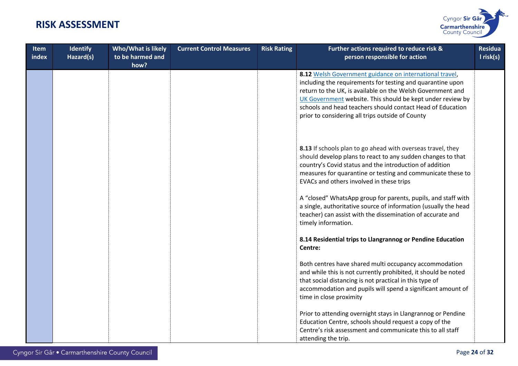

| <b>Item</b><br>index | <b>Identify</b><br>Hazard(s) | Who/What is likely<br>to be harmed and<br>how? | <b>Current Control Measures</b> | <b>Risk Rating</b> | Further actions required to reduce risk &<br>person responsible for action                                                                                                                                                                                                                                                                                          | <b>Residua</b><br>$l$ risk(s) |
|----------------------|------------------------------|------------------------------------------------|---------------------------------|--------------------|---------------------------------------------------------------------------------------------------------------------------------------------------------------------------------------------------------------------------------------------------------------------------------------------------------------------------------------------------------------------|-------------------------------|
|                      |                              |                                                |                                 |                    | 8.12 Welsh Government guidance on international travel,<br>including the requirements for testing and quarantine upon<br>return to the UK, is available on the Welsh Government and<br>UK Government website. This should be kept under review by<br>schools and head teachers should contact Head of Education<br>prior to considering all trips outside of County |                               |
|                      |                              |                                                |                                 |                    | 8.13 If schools plan to go ahead with overseas travel, they<br>should develop plans to react to any sudden changes to that<br>country's Covid status and the introduction of addition<br>measures for quarantine or testing and communicate these to<br>EVACs and others involved in these trips                                                                    |                               |
|                      |                              |                                                |                                 |                    | A "closed" WhatsApp group for parents, pupils, and staff with<br>a single, authoritative source of information (usually the head<br>teacher) can assist with the dissemination of accurate and<br>timely information.                                                                                                                                               |                               |
|                      |                              |                                                |                                 |                    | 8.14 Residential trips to Llangrannog or Pendine Education<br>Centre:                                                                                                                                                                                                                                                                                               |                               |
|                      |                              |                                                |                                 |                    | Both centres have shared multi occupancy accommodation<br>and while this is not currently prohibited, it should be noted<br>that social distancing is not practical in this type of<br>accommodation and pupils will spend a significant amount of<br>time in close proximity                                                                                       |                               |
|                      |                              |                                                |                                 |                    | Prior to attending overnight stays in Llangrannog or Pendine<br>Education Centre, schools should request a copy of the<br>Centre's risk assessment and communicate this to all staff<br>attending the trip.                                                                                                                                                         |                               |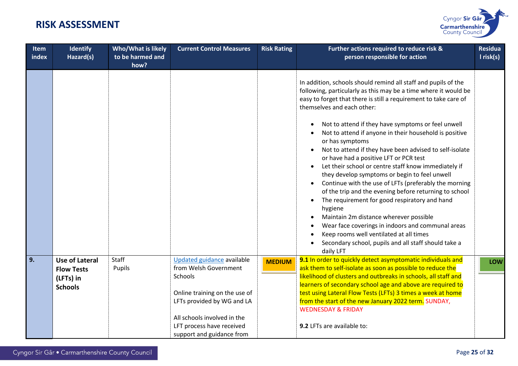

| Item<br>index | <b>Identify</b><br>Hazard(s)               | Who/What is likely<br>to be harmed and<br>how? | <b>Current Control Measures</b>                     | <b>Risk Rating</b> | Further actions required to reduce risk &<br>person responsible for action                                                                                                                                                                                                                                                                                                                                                                                                                                                                                                                                                                                                                                                                                                                                                                                                                                             | <b>Residua</b><br>I risk(s) |
|---------------|--------------------------------------------|------------------------------------------------|-----------------------------------------------------|--------------------|------------------------------------------------------------------------------------------------------------------------------------------------------------------------------------------------------------------------------------------------------------------------------------------------------------------------------------------------------------------------------------------------------------------------------------------------------------------------------------------------------------------------------------------------------------------------------------------------------------------------------------------------------------------------------------------------------------------------------------------------------------------------------------------------------------------------------------------------------------------------------------------------------------------------|-----------------------------|
|               |                                            |                                                |                                                     |                    | In addition, schools should remind all staff and pupils of the<br>following, particularly as this may be a time where it would be<br>easy to forget that there is still a requirement to take care of<br>themselves and each other:<br>Not to attend if they have symptoms or feel unwell<br>Not to attend if anyone in their household is positive<br>or has symptoms<br>Not to attend if they have been advised to self-isolate<br>$\bullet$<br>or have had a positive LFT or PCR test<br>Let their school or centre staff know immediately if<br>$\bullet$<br>they develop symptoms or begin to feel unwell<br>Continue with the use of LFTs (preferably the morning<br>$\bullet$<br>of the trip and the evening before returning to school<br>The requirement for good respiratory and hand<br>hygiene<br>Maintain 2m distance wherever possible<br>$\bullet$<br>Wear face coverings in indoors and communal areas |                             |
|               |                                            |                                                |                                                     |                    | Keep rooms well ventilated at all times<br>Secondary school, pupils and all staff should take a<br>daily LFT                                                                                                                                                                                                                                                                                                                                                                                                                                                                                                                                                                                                                                                                                                                                                                                                           |                             |
| 9.            | <b>Use of Lateral</b><br><b>Flow Tests</b> | Staff<br>Pupils                                | Updated guidance available<br>from Welsh Government | <b>MEDIUM</b>      | 9.1 In order to quickly detect asymptomatic individuals and<br>ask them to self-isolate as soon as possible to reduce the                                                                                                                                                                                                                                                                                                                                                                                                                                                                                                                                                                                                                                                                                                                                                                                              | LOW                         |
|               | (LFTs) in                                  |                                                | Schools                                             |                    | likelihood of clusters and outbreaks in schools, all staff and<br>learners of secondary school age and above are required to                                                                                                                                                                                                                                                                                                                                                                                                                                                                                                                                                                                                                                                                                                                                                                                           |                             |
|               | <b>Schools</b>                             |                                                | Online training on the use of                       |                    | test using Lateral Flow Tests (LFTs) 3 times a week at home                                                                                                                                                                                                                                                                                                                                                                                                                                                                                                                                                                                                                                                                                                                                                                                                                                                            |                             |
|               |                                            |                                                | LFTs provided by WG and LA                          |                    | from the start of the new January 2022 term. SUNDAY,                                                                                                                                                                                                                                                                                                                                                                                                                                                                                                                                                                                                                                                                                                                                                                                                                                                                   |                             |
|               |                                            |                                                | All schools involved in the                         |                    | <b>WEDNESDAY &amp; FRIDAY</b>                                                                                                                                                                                                                                                                                                                                                                                                                                                                                                                                                                                                                                                                                                                                                                                                                                                                                          |                             |
|               |                                            |                                                | LFT process have received                           |                    | 9.2 LFTs are available to:                                                                                                                                                                                                                                                                                                                                                                                                                                                                                                                                                                                                                                                                                                                                                                                                                                                                                             |                             |
|               |                                            |                                                | support and guidance from                           |                    |                                                                                                                                                                                                                                                                                                                                                                                                                                                                                                                                                                                                                                                                                                                                                                                                                                                                                                                        |                             |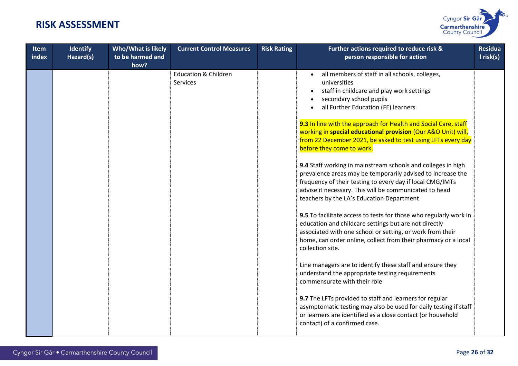

| Item<br>index | <b>Identify</b><br>Hazard(s) | <b>Who/What is likely</b><br>to be harmed and<br>how? | <b>Current Control Measures</b>             | <b>Risk Rating</b> | Further actions required to reduce risk &<br>person responsible for action                                                                                                                                                                                                                      | <b>Residua</b><br>I risk(s) |
|---------------|------------------------------|-------------------------------------------------------|---------------------------------------------|--------------------|-------------------------------------------------------------------------------------------------------------------------------------------------------------------------------------------------------------------------------------------------------------------------------------------------|-----------------------------|
|               |                              |                                                       | <b>Education &amp; Children</b><br>Services |                    | all members of staff in all schools, colleges,<br>universities<br>staff in childcare and play work settings<br>secondary school pupils<br>all Further Education (FE) learners                                                                                                                   |                             |
|               |                              |                                                       |                                             |                    | 9.3 In line with the approach for Health and Social Care, staff<br>working in special educational provision (Our A&O Unit) will,<br>from 22 December 2021, be asked to test using LFTs every day<br>before they come to work.                                                                   |                             |
|               |                              |                                                       |                                             |                    | 9.4 Staff working in mainstream schools and colleges in high<br>prevalence areas may be temporarily advised to increase the<br>frequency of their testing to every day if local CMG/IMTs<br>advise it necessary. This will be communicated to head<br>teachers by the LA's Education Department |                             |
|               |                              |                                                       |                                             |                    | 9.5 To facilitate access to tests for those who regularly work in<br>education and childcare settings but are not directly<br>associated with one school or setting, or work from their<br>home, can order online, collect from their pharmacy or a local<br>collection site.                   |                             |
|               |                              |                                                       |                                             |                    | Line managers are to identify these staff and ensure they<br>understand the appropriate testing requirements<br>commensurate with their role                                                                                                                                                    |                             |
|               |                              |                                                       |                                             |                    | 9.7 The LFTs provided to staff and learners for regular<br>asymptomatic testing may also be used for daily testing if staff<br>or learners are identified as a close contact (or household<br>contact) of a confirmed case.                                                                     |                             |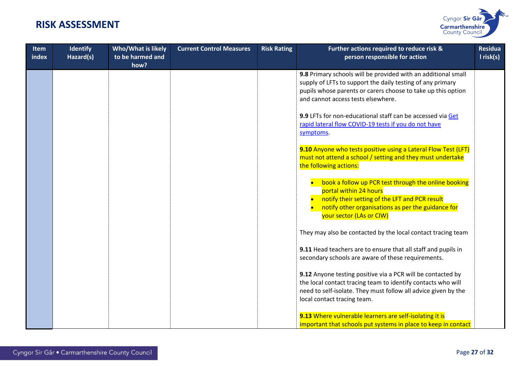

| <b>Item</b><br>index | <b>Identify</b><br>Hazard(s) | <b>Who/What is likely</b><br>to be harmed and<br>how? | <b>Current Control Measures</b> | <b>Risk Rating</b> | Further actions required to reduce risk &<br>person responsible for action                                                                                                                                                        | <b>Residua</b><br>I risk(s) |
|----------------------|------------------------------|-------------------------------------------------------|---------------------------------|--------------------|-----------------------------------------------------------------------------------------------------------------------------------------------------------------------------------------------------------------------------------|-----------------------------|
|                      |                              |                                                       |                                 |                    | 9.8 Primary schools will be provided with an additional small<br>supply of LFTs to support the daily testing of any primary<br>pupils whose parents or carers choose to take up this option<br>and cannot access tests elsewhere. |                             |
|                      |                              |                                                       |                                 |                    | 9.9 LFTs for non-educational staff can be accessed via Get<br>rapid lateral flow COVID-19 tests if you do not have<br>symptoms.                                                                                                   |                             |
|                      |                              |                                                       |                                 |                    | 9.10 Anyone who tests positive using a Lateral Flow Test (LFT)<br>must not attend a school / setting and they must undertake<br>the following actions:                                                                            |                             |
|                      |                              |                                                       |                                 |                    | book a follow up PCR test through the online booking<br>portal within 24 hours<br>• notify their setting of the LFT and PCR result<br>notify other organisations as per the guidance for<br>your sector (LAs or CIW)              |                             |
|                      |                              |                                                       |                                 |                    | They may also be contacted by the local contact tracing team                                                                                                                                                                      |                             |
|                      |                              |                                                       |                                 |                    | 9.11 Head teachers are to ensure that all staff and pupils in<br>secondary schools are aware of these requirements.                                                                                                               |                             |
|                      |                              |                                                       |                                 |                    | 9.12 Anyone testing positive via a PCR will be contacted by<br>the local contact tracing team to identify contacts who will<br>need to self-isolate. They must follow all advice given by the<br>local contact tracing team.      |                             |
|                      |                              |                                                       |                                 |                    | 9.13 Where vulnerable learners are self-isolating it is<br>important that schools put systems in place to keep in contact                                                                                                         |                             |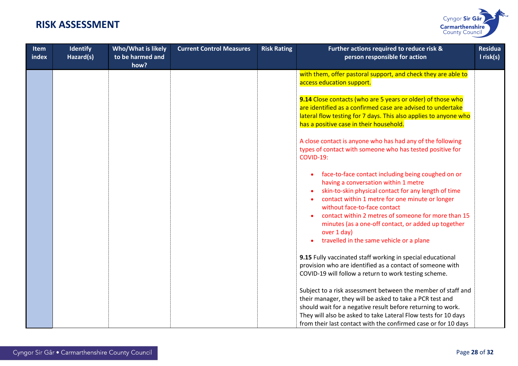

| <b>Item</b><br>index | <b>Identify</b><br>Hazard(s) | <b>Who/What is likely</b><br>to be harmed and<br>how? | <b>Current Control Measures</b> | <b>Risk Rating</b> | Further actions required to reduce risk &<br>person responsible for action                                                                                                                                                                                                                                                                                                                                     | <b>Residua</b><br>$l$ risk(s) |
|----------------------|------------------------------|-------------------------------------------------------|---------------------------------|--------------------|----------------------------------------------------------------------------------------------------------------------------------------------------------------------------------------------------------------------------------------------------------------------------------------------------------------------------------------------------------------------------------------------------------------|-------------------------------|
|                      |                              |                                                       |                                 |                    | with them, offer pastoral support, and check they are able to<br>access education support.                                                                                                                                                                                                                                                                                                                     |                               |
|                      |                              |                                                       |                                 |                    | 9.14 Close contacts (who are 5 years or older) of those who<br>are identified as a confirmed case are advised to undertake<br>lateral flow testing for 7 days. This also applies to anyone who<br>has a positive case in their household.                                                                                                                                                                      |                               |
|                      |                              |                                                       |                                 |                    | A close contact is anyone who has had any of the following<br>types of contact with someone who has tested positive for<br><b>COVID-19:</b>                                                                                                                                                                                                                                                                    |                               |
|                      |                              |                                                       |                                 |                    | face-to-face contact including being coughed on or<br>having a conversation within 1 metre<br>skin-to-skin physical contact for any length of time<br>contact within 1 metre for one minute or longer<br>without face-to-face contact<br>contact within 2 metres of someone for more than 15<br>minutes (as a one-off contact, or added up together<br>over 1 day)<br>travelled in the same vehicle or a plane |                               |
|                      |                              |                                                       |                                 |                    | 9.15 Fully vaccinated staff working in special educational<br>provision who are identified as a contact of someone with<br>COVID-19 will follow a return to work testing scheme.                                                                                                                                                                                                                               |                               |
|                      |                              |                                                       |                                 |                    | Subject to a risk assessment between the member of staff and<br>their manager, they will be asked to take a PCR test and<br>should wait for a negative result before returning to work.<br>They will also be asked to take Lateral Flow tests for 10 days<br>from their last contact with the confirmed case or for 10 days                                                                                    |                               |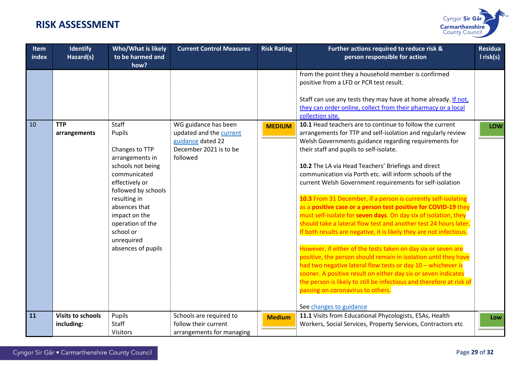

| <b>Item</b><br>index | <b>Identify</b><br>Hazard(s)           | Who/What is likely<br>to be harmed and<br>how?                                                                                                                                                                                                            | <b>Current Control Measures</b>                                                                            | <b>Risk Rating</b> | Further actions required to reduce risk &<br>person responsible for action                                                                                                                                                                                                                                                                                                                                                                                                                                                                                                                                                                                                                                                                                                                                                                                                                                                                                                                                                                                                                                                                                                 | <b>Residua</b><br>I risk(s) |
|----------------------|----------------------------------------|-----------------------------------------------------------------------------------------------------------------------------------------------------------------------------------------------------------------------------------------------------------|------------------------------------------------------------------------------------------------------------|--------------------|----------------------------------------------------------------------------------------------------------------------------------------------------------------------------------------------------------------------------------------------------------------------------------------------------------------------------------------------------------------------------------------------------------------------------------------------------------------------------------------------------------------------------------------------------------------------------------------------------------------------------------------------------------------------------------------------------------------------------------------------------------------------------------------------------------------------------------------------------------------------------------------------------------------------------------------------------------------------------------------------------------------------------------------------------------------------------------------------------------------------------------------------------------------------------|-----------------------------|
|                      |                                        |                                                                                                                                                                                                                                                           |                                                                                                            |                    | from the point they a household member is confirmed<br>positive from a LFD or PCR test result.<br>Staff can use any tests they may have at home already. If not,<br>they can order online, collect from their pharmacy or a local<br>collection site.                                                                                                                                                                                                                                                                                                                                                                                                                                                                                                                                                                                                                                                                                                                                                                                                                                                                                                                      |                             |
| 10                   | <b>TTP</b><br>arrangements             | Staff<br>Pupils<br>Changes to TTP<br>arrangements in<br>schools not being<br>communicated<br>effectively or<br>followed by schools<br>resulting in<br>absences that<br>impact on the<br>operation of the<br>school or<br>unrequired<br>absences of pupils | WG guidance has been<br>updated and the current<br>guidance dated 22<br>December 2021 is to be<br>followed | <b>MEDIUM</b>      | 10.1 Head teachers are to continue to follow the current<br>arrangements for TTP and self-isolation and regularly review<br>Welsh Governments guidance regarding requirements for<br>their staff and pupils to self-isolate.<br>10.2 The LA via Head Teachers' Briefings and direct<br>communication via Porth etc. will inform schools of the<br>current Welsh Government requirements for self-isolation<br>10.3 From 31 December, if a person is currently self-isolating<br>as a positive case or a person test positive for COVID-19 they<br>must self-isolate for seven days. On day six of isolation, they<br>should take a lateral flow test and another test 24 hours later.<br>If both results are negative, it is likely they are not infectious.<br>However, if either of the tests taken on day six or seven are<br>positive, the person should remain in isolation until they have<br>had two negative lateral flow tests or day 10 - whichever is<br>sooner. A positive result on either day six or seven indicates<br>the person is likely to still be infectious and therefore at risk of<br>passing on coronavirus to others.<br>See changes to guidance | <b>LOW</b>                  |
| 11                   | <b>Visits to schools</b><br>including: | Pupils<br>Staff<br><b>Visitors</b>                                                                                                                                                                                                                        | Schools are required to<br>follow their current<br>arrangements for managing                               | <b>Medium</b>      | 11.1 Visits from Educational Phycologists, ESAs, Health<br>Workers, Social Services, Property Services, Contractors etc                                                                                                                                                                                                                                                                                                                                                                                                                                                                                                                                                                                                                                                                                                                                                                                                                                                                                                                                                                                                                                                    | Low                         |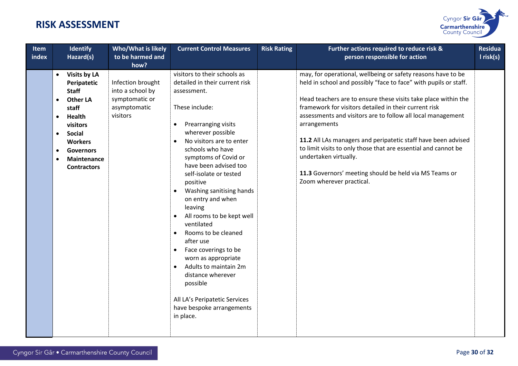

| Item<br>index | Identify<br>Hazard(s)                                                                                                                                                                                                                                                                 | Who/What is likely<br>to be harmed and                                                      | <b>Current Control Measures</b>                                                                                                                                                                                                                                                                                                                                                                                                                                                                                                                                                                                                                                                                 | <b>Risk Rating</b> | Further actions required to reduce risk &<br>person responsible for action                                                                                                                                                                                                                                                                                                                                                                                                                                                                                                                   | <b>Residua</b><br>I risk(s) |
|---------------|---------------------------------------------------------------------------------------------------------------------------------------------------------------------------------------------------------------------------------------------------------------------------------------|---------------------------------------------------------------------------------------------|-------------------------------------------------------------------------------------------------------------------------------------------------------------------------------------------------------------------------------------------------------------------------------------------------------------------------------------------------------------------------------------------------------------------------------------------------------------------------------------------------------------------------------------------------------------------------------------------------------------------------------------------------------------------------------------------------|--------------------|----------------------------------------------------------------------------------------------------------------------------------------------------------------------------------------------------------------------------------------------------------------------------------------------------------------------------------------------------------------------------------------------------------------------------------------------------------------------------------------------------------------------------------------------------------------------------------------------|-----------------------------|
|               | <b>Visits by LA</b><br>$\bullet$<br>Peripatetic<br><b>Staff</b><br><b>Other LA</b><br>$\bullet$<br>staff<br>Health<br>$\bullet$<br>visitors<br><b>Social</b><br>$\bullet$<br><b>Workers</b><br><b>Governors</b><br>$\bullet$<br><b>Maintenance</b><br>$\bullet$<br><b>Contractors</b> | how?<br>Infection brought<br>into a school by<br>symptomatic or<br>asymptomatic<br>visitors | visitors to their schools as<br>detailed in their current risk<br>assessment.<br>These include:<br>Prearranging visits<br>$\bullet$<br>wherever possible<br>No visitors are to enter<br>$\bullet$<br>schools who have<br>symptoms of Covid or<br>have been advised too<br>self-isolate or tested<br>positive<br>Washing sanitising hands<br>$\bullet$<br>on entry and when<br>leaving<br>All rooms to be kept well<br>ventilated<br>Rooms to be cleaned<br>$\bullet$<br>after use<br>Face coverings to be<br>$\bullet$<br>worn as appropriate<br>Adults to maintain 2m<br>$\bullet$<br>distance wherever<br>possible<br>All LA's Peripatetic Services<br>have bespoke arrangements<br>in place. |                    | may, for operational, wellbeing or safety reasons have to be<br>held in school and possibly "face to face" with pupils or staff.<br>Head teachers are to ensure these visits take place within the<br>framework for visitors detailed in their current risk<br>assessments and visitors are to follow all local management<br>arrangements<br>11.2 All LAs managers and peripatetic staff have been advised<br>to limit visits to only those that are essential and cannot be<br>undertaken virtually.<br>11.3 Governors' meeting should be held via MS Teams or<br>Zoom wherever practical. |                             |
|               |                                                                                                                                                                                                                                                                                       |                                                                                             |                                                                                                                                                                                                                                                                                                                                                                                                                                                                                                                                                                                                                                                                                                 |                    |                                                                                                                                                                                                                                                                                                                                                                                                                                                                                                                                                                                              |                             |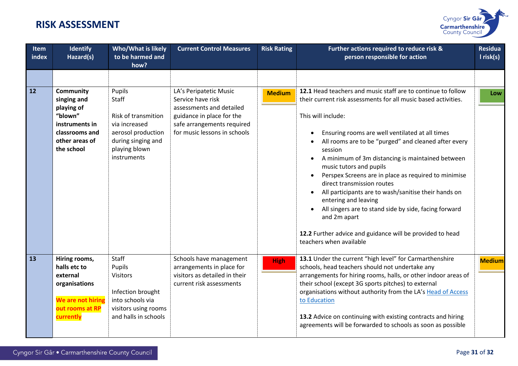

| Item<br>index | Identify<br>Hazard(s)                                                                                                        | <b>Who/What is likely</b><br>to be harmed and<br>how?                                                                               | <b>Current Control Measures</b>                                                                                                                                    | <b>Risk Rating</b> | Further actions required to reduce risk &<br>person responsible for action                                                                                                                                                                                                                                                                                                                                                                                                                                                                                                                                            | <b>Residua</b><br>$I$ risk(s) |
|---------------|------------------------------------------------------------------------------------------------------------------------------|-------------------------------------------------------------------------------------------------------------------------------------|--------------------------------------------------------------------------------------------------------------------------------------------------------------------|--------------------|-----------------------------------------------------------------------------------------------------------------------------------------------------------------------------------------------------------------------------------------------------------------------------------------------------------------------------------------------------------------------------------------------------------------------------------------------------------------------------------------------------------------------------------------------------------------------------------------------------------------------|-------------------------------|
| 12            | <b>Community</b><br>singing and<br>playing of<br>"blown"<br>instruments in<br>classrooms and<br>other areas of<br>the school | Pupils<br>Staff<br>Risk of transmition<br>via increased<br>aerosol production<br>during singing and<br>playing blown<br>instruments | LA's Peripatetic Music<br>Service have risk<br>assessments and detailed<br>guidance in place for the<br>safe arrangements required<br>for music lessons in schools | <b>Medium</b>      | 12.1 Head teachers and music staff are to continue to follow<br>their current risk assessments for all music based activities.<br>This will include:<br>Ensuring rooms are well ventilated at all times<br>All rooms are to be "purged" and cleaned after every<br>session<br>A minimum of 3m distancing is maintained between<br>$\bullet$<br>music tutors and pupils<br>Perspex Screens are in place as required to minimise<br>direct transmission routes<br>All participants are to wash/sanitise their hands on<br>entering and leaving<br>All singers are to stand side by side, facing forward<br>and 2m apart | Low                           |
| 13            | Hiring rooms,<br>halls etc to<br>external<br>organisations<br>We are not hiring<br>out rooms at RP<br>currently              | Staff<br>Pupils<br><b>Visitors</b><br>Infection brought<br>into schools via<br>visitors using rooms<br>and halls in schools         | Schools have management<br>arrangements in place for<br>visitors as detailed in their<br>current risk assessments                                                  | <b>High</b>        | 12.2 Further advice and guidance will be provided to head<br>teachers when available<br>13.1 Under the current "high level" for Carmarthenshire<br>schools, head teachers should not undertake any<br>arrangements for hiring rooms, halls, or other indoor areas of<br>their school (except 3G sports pitches) to external<br>organisations without authority from the LA's Head of Access<br>to Education<br>13.2 Advice on continuing with existing contracts and hiring<br>agreements will be forwarded to schools as soon as possible                                                                            | <b>Medium</b>                 |